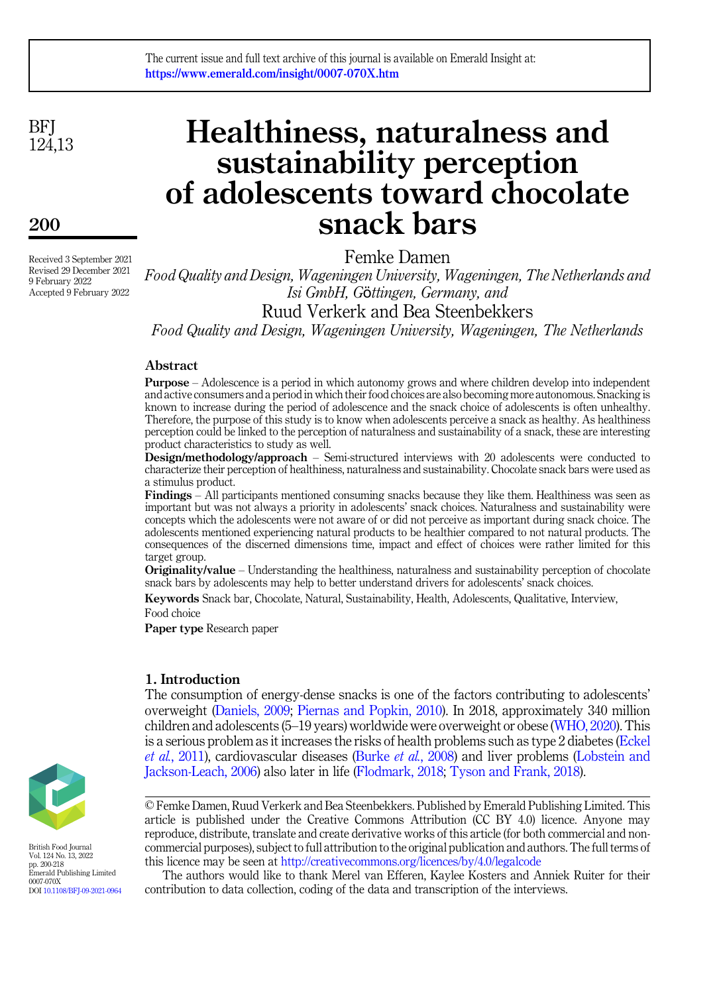#### The current issue and full text archive of this journal is available on Emerald Insight at: https://www.emerald.com/insight/0007-070X.htm

**BFI** 124,13

## 200

Received 3 September 2021 Revised 29 December 2021 9 February 2022 Accepted 9 February 2022

# Healthiness, naturalness and sustainability perception of adolescents toward chocolate snack bars

Femke Damen

Food Quality and Design, Wageningen University, Wageningen, The Netherlands and Isi GmbH, Gӧttingen, Germany, and Ruud Verkerk and Bea Steenbekkers

Food Quality and Design, Wageningen University, Wageningen, The Netherlands

#### Abstract

Purpose – Adolescence is a period in which autonomy grows and where children develop into independent and active consumers and a period in which their food choices are also becoming more autonomous. Snacking is known to increase during the period of adolescence and the snack choice of adolescents is often unhealthy. Therefore, the purpose of this study is to know when adolescents perceive a snack as healthy. As healthiness perception could be linked to the perception of naturalness and sustainability of a snack, these are interesting product characteristics to study as well.

Design/methodology/approach – Semi-structured interviews with 20 adolescents were conducted to characterize their perception of healthiness, naturalness and sustainability. Chocolate snack bars were used as a stimulus product.

Findings – All participants mentioned consuming snacks because they like them. Healthiness was seen as important but was not always a priority in adolescents' snack choices. Naturalness and sustainability were concepts which the adolescents were not aware of or did not perceive as important during snack choice. The adolescents mentioned experiencing natural products to be healthier compared to not natural products. The consequences of the discerned dimensions time, impact and effect of choices were rather limited for this target group.

**Originality/value** – Understanding the healthiness, naturalness and sustainability perception of chocolate snack bars by adolescents may help to better understand drivers for adolescents' snack choices.

Keywords Snack bar, Chocolate, Natural, Sustainability, Health, Adolescents, Qualitative, Interview, Food choice

Paper type Research paper

#### 1. Introduction

The consumption of energy-dense snacks is one of the factors contributing to adolescents' overweight [\(Daniels, 2009;](#page-14-0) [Piernas and Popkin, 2010\)](#page-16-0). In 2018, approximately 340 million children and adolescents (5–19 years) worldwide were overweight or obese [\(WHO, 2020\)](#page-18-0). This is a serious problem as it increases the risks of health problems such as type 2 diabetes ([Eckel](#page-14-1) et al.[, 2011](#page-14-1)), cardiovascular diseases (Burke et al.[, 2008\)](#page-13-0) and liver problems ([Lobstein and](#page-15-0) [Jackson-Leach, 2006\)](#page-15-0) also later in life [\(Flodmark, 2018](#page-14-2); [Tyson and Frank, 2018\)](#page-17-0).

The authors would like to thank Merel van Efferen, Kaylee Kosters and Anniek Ruiter for their contribution to data collection, coding of the data and transcription of the interviews.



British Food Journal Vol. 124 No. 13, 2022 pp. 200-218 Emerald Publishing Limited 0007-070X DOI [10.1108/BFJ-09-2021-0964](https://doi.org/10.1108/BFJ-09-2021-0964)

<sup>©</sup> Femke Damen, Ruud Verkerk and Bea Steenbekkers. Published by Emerald Publishing Limited. This article is published under the Creative Commons Attribution (CC BY 4.0) licence. Anyone may reproduce, distribute, translate and create derivative works of this article (for both commercial and noncommercial purposes), subject to full attribution to the original publication and authors. The full terms of this licence may be seen at <http://creativecommons.org/licences/by/4.0/legalcode>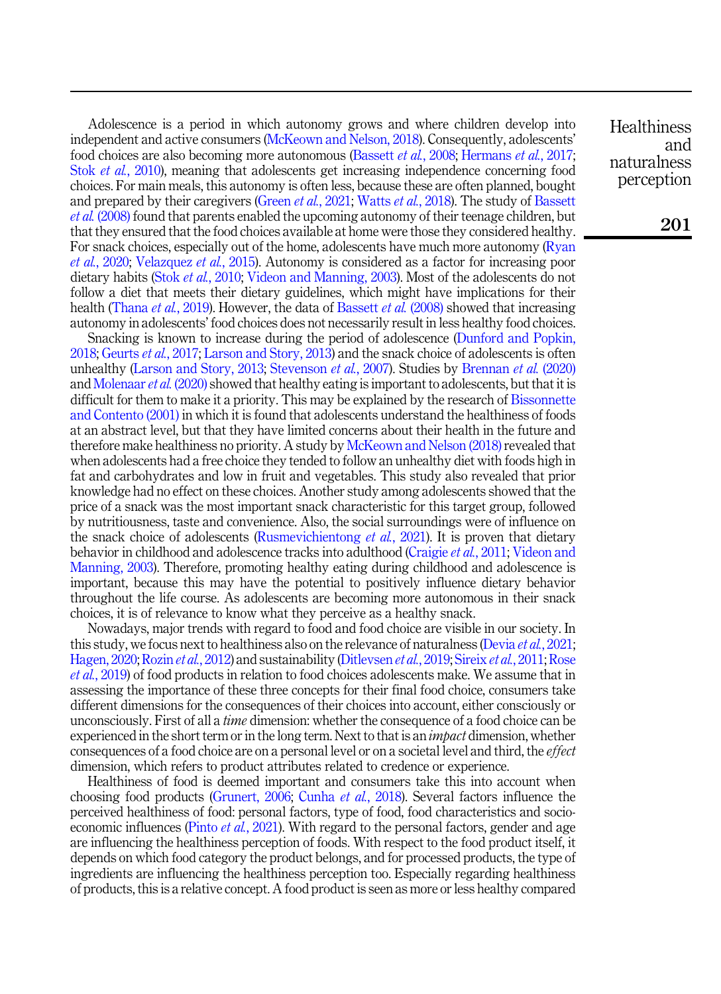Adolescence is a period in which autonomy grows and where children develop into independent and active consumers ([McKeown and Nelson, 2018\)](#page-15-1). Consequently, adolescents' food choices are also becoming more autonomous ([Bassett](#page-12-0) et al., 2008; [Hermans](#page-15-2) et al., 2017; Stok et al.[, 2010\)](#page-17-1), meaning that adolescents get increasing independence concerning food choices. For main meals, this autonomy is often less, because these are often planned, bought and prepared by their caregivers ([Green](#page-14-3) *et al.*, 2021; [Watts](#page-18-1) *et al.*, 2018). The study of [Bassett](#page-12-0) et al. [\(2008\)](#page-12-0) found that parents enabled the upcoming autonomy of their teenage children, but that they ensured that the food choices available at home were those they considered healthy. For snack choices, especially out of the home, adolescents have much more autonomy ([Ryan](#page-16-1) et al.[, 2020](#page-16-1); [Velazquez](#page-18-2) et al., 2015). Autonomy is considered as a factor for increasing poor dietary habits (Stok *et al.*[, 2010;](#page-17-1) [Videon and Manning, 2003\)](#page-18-3). Most of the adolescents do not follow a diet that meets their dietary guidelines, which might have implications for their health [\(Thana](#page-17-2) *et al.*, 2019). However, the data of [Bassett](#page-12-0) *et al.* (2008) showed that increasing autonomy in adolescents' food choices does not necessarily result in less healthy food choices.

Snacking is known to increase during the period of adolescence ([Dunford and Popkin,](#page-14-4) [2018;](#page-14-4) [Geurts](#page-14-5) *et al.*, 2017; [Larson and Story, 2013\)](#page-15-3) and the snack choice of adolescents is often unhealthy ([Larson and Story, 2013;](#page-15-3) [Stevenson](#page-17-3) *et al.*, 2007). Studies by [Brennan](#page-13-1) *et al.* (2020) and [Molenaar](#page-15-4) et al. (2020) showed that healthy eating is important to adolescents, but that it is difficult for them to make it a priority. This may be explained by the research of [Bissonnette](#page-13-2) [and Contento \(2001\)](#page-13-2) in which it is found that adolescents understand the healthiness of foods at an abstract level, but that they have limited concerns about their health in the future and therefore make healthiness no priority. A study by [McKeown and Nelson \(2018\)](#page-15-1) revealed that when adolescents had a free choice they tended to follow an unhealthy diet with foods high in fat and carbohydrates and low in fruit and vegetables. This study also revealed that prior knowledge had no effect on these choices. Another study among adolescents showed that the price of a snack was the most important snack characteristic for this target group, followed by nutritiousness, taste and convenience. Also, the social surroundings were of influence on the snack choice of adolescents [\(Rusmevichientong](#page-16-2) *et al.*, 2021). It is proven that dietary behavior in childhood and adolescence tracks into adulthood ([Craigie](#page-13-3) et al., 2011; [Videon and](#page-18-3) [Manning, 2003\)](#page-18-3). Therefore, promoting healthy eating during childhood and adolescence is important, because this may have the potential to positively influence dietary behavior throughout the life course. As adolescents are becoming more autonomous in their snack choices, it is of relevance to know what they perceive as a healthy snack.

Nowadays, major trends with regard to food and food choice are visible in our society. In this study, we focus next to healthiness also on the relevance of naturalness ([Devia](#page-14-6) *et al.*, 2021; [Hagen, 2020;](#page-14-7) [Rozin](#page-16-3) et al., 2012) and sustainability [\(Ditlevsen](#page-14-8) et al., 2019; [Sireix](#page-17-4) et al., 2011; [Rose](#page-16-4) et al.[, 2019\)](#page-16-4) of food products in relation to food choices adolescents make. We assume that in assessing the importance of these three concepts for their final food choice, consumers take different dimensions for the consequences of their choices into account, either consciously or unconsciously. First of all a *time* dimension: whether the consequence of a food choice can be experienced in the short term or in the long term. Next to that is an *impact* dimension, whether consequences of a food choice are on a personal level or on a societal level and third, the effect dimension, which refers to product attributes related to credence or experience.

Healthiness of food is deemed important and consumers take this into account when choosing food products ([Grunert, 2006](#page-14-9); [Cunha](#page-13-4) et al., 2018). Several factors influence the perceived healthiness of food: personal factors, type of food, food characteristics and socioeconomic influences (Pinto *et al.*[, 2021\)](#page-16-5). With regard to the personal factors, gender and age are influencing the healthiness perception of foods. With respect to the food product itself, it depends on which food category the product belongs, and for processed products, the type of ingredients are influencing the healthiness perception too. Especially regarding healthiness of products, this is a relative concept. A food product is seen as more or less healthy compared

**Healthiness** and naturalness perception

201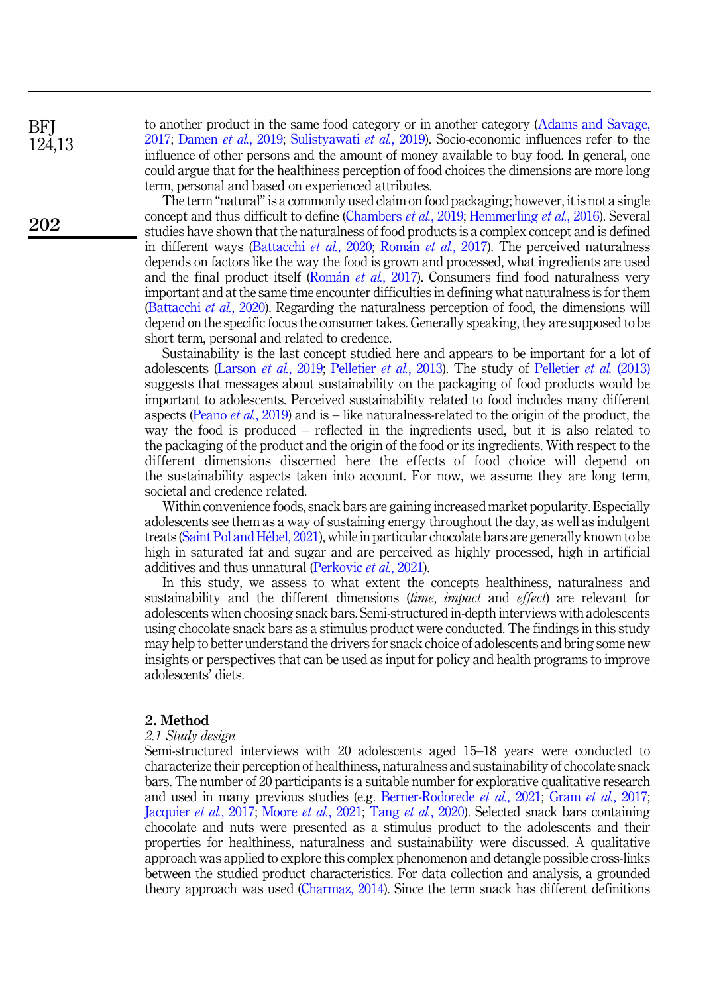**BFI** 124,13

202

to another product in the same food category or in another category [\(Adams and Savage,](#page-12-1) [2017;](#page-12-1) [Damen](#page-13-5) et al., 2019; [Sulistyawati](#page-17-5) et al., 2019). Socio-economic influences refer to the influence of other persons and the amount of money available to buy food. In general, one could argue that for the healthiness perception of food choices the dimensions are more long term, personal and based on experienced attributes.

The term "natural"is a commonly used claim on food packaging; however, it is not a single concept and thus difficult to define ([Chambers](#page-13-6) *et al.*, 2019; [Hemmerling](#page-15-5) *et al.*, 2016). Several studies have shown that the naturalness of food products is a complex concept and is defined in different ways ([Battacchi](#page-12-2) et al., 2020; [Rom](#page-16-6)án et al.[, 2017\)](#page-16-6). The perceived naturalness depends on factors like the way the food is grown and processed, what ingredients are used and the final product itself [\(Rom](#page-16-6)án *et al.*[, 2017\)](#page-16-6). Consumers find food naturalness very important and at the same time encounter difficulties in defining what naturalness is for them ([Battacchi](#page-12-2) *et al.*, 2020). Regarding the naturalness perception of food, the dimensions will depend on the specific focus the consumer takes. Generally speaking, they are supposed to be short term, personal and related to credence.

Sustainability is the last concept studied here and appears to be important for a lot of adolescents ([Larson](#page-15-6) et al., 2019; [Pelletier](#page-16-7) et al., 2013). The study of [Pelletier](#page-16-7) et al. (2013) suggests that messages about sustainability on the packaging of food products would be important to adolescents. Perceived sustainability related to food includes many different aspects [\(Peano](#page-16-8) *et al.*, 2019) and is – like naturalness-related to the origin of the product, the way the food is produced – reflected in the ingredients used, but it is also related to the packaging of the product and the origin of the food or its ingredients. With respect to the different dimensions discerned here the effects of food choice will depend on the sustainability aspects taken into account. For now, we assume they are long term, societal and credence related.

Within convenience foods, snack bars are gaining increased market popularity. Especially adolescents see them as a way of sustaining energy throughout the day, as well as indulgent treats ([Saint Pol and H](#page-17-6)e[bel, 2021](#page-17-6)), while in particular chocolate bars are generally known to be high in saturated fat and sugar and are perceived as highly processed, high in artificial additives and thus unnatural ([Perkovic](#page-16-9) et al., 2021).

In this study, we assess to what extent the concepts healthiness, naturalness and sustainability and the different dimensions *(time, impact* and *effect*) are relevant for adolescents when choosing snack bars. Semi-structured in-depth interviews with adolescents using chocolate snack bars as a stimulus product were conducted. The findings in this study may help to better understand the drivers for snack choice of adolescents and bring some new insights or perspectives that can be used as input for policy and health programs to improve adolescents' diets.

#### 2. Method

#### 2.1 Study design

Semi-structured interviews with 20 adolescents aged 15–18 years were conducted to characterize their perception of healthiness, naturalness and sustainability of chocolate snack bars. The number of 20 participants is a suitable number for explorative qualitative research and used in many previous studies (e.g. [Berner-Rodorede](#page-13-7) *et al.*, 2021; Gram *et al.*[, 2017](#page-14-10); [Jacquier](#page-15-7) et al., 2017; [Moore](#page-15-8) et al., 2021; Tang et al.[, 2020\)](#page-17-7). Selected snack bars containing chocolate and nuts were presented as a stimulus product to the adolescents and their properties for healthiness, naturalness and sustainability were discussed. A qualitative approach was applied to explore this complex phenomenon and detangle possible cross-links between the studied product characteristics. For data collection and analysis, a grounded theory approach was used [\(Charmaz, 2014\)](#page-13-8). Since the term snack has different definitions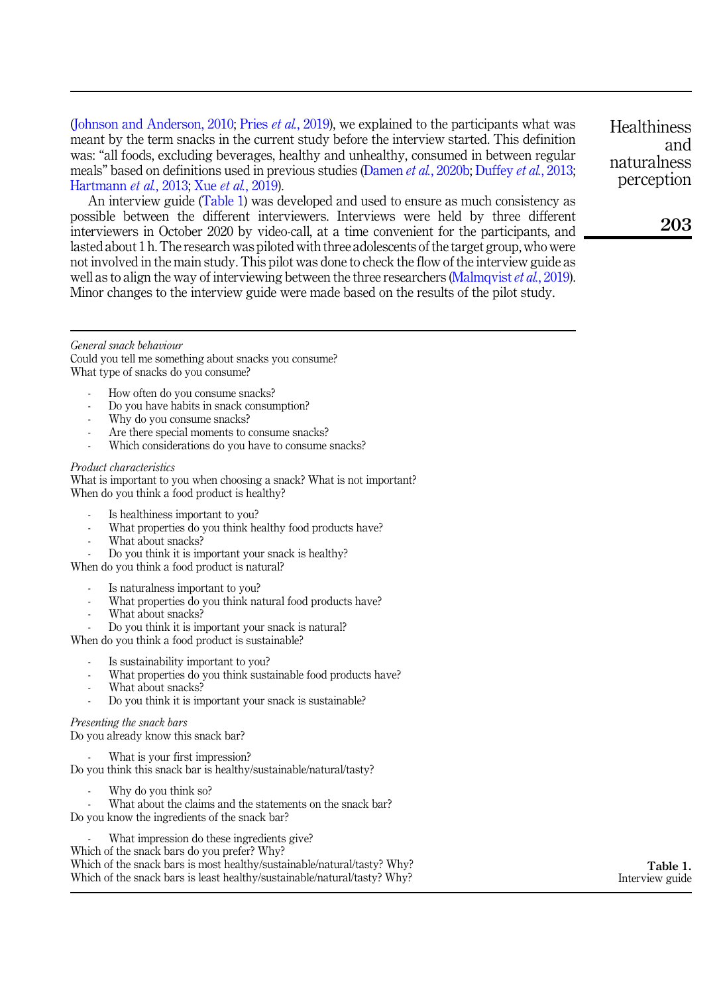<span id="page-3-0"></span>([Johnson and Anderson, 2010;](#page-15-9) Pries *et al.*[, 2019](#page-16-10)), we explained to the participants what was meant by the term snacks in the current study before the interview started. This definition was: "all foods, excluding beverages, healthy and unhealthy, consumed in between regular meals" based on definitions used in previous studies (Damen *et al.*[, 2020b;](#page-13-9) [Duffey](#page-14-11) *et al.*, 2013; [Hartmann](#page-14-12) et al., 2013; Xue et al.[, 2019](#page-18-4)).

An interview guide (Table 1) was developed and used to ensure as much consistency as possible between the different interviewers. Interviews were held by three different interviewers in October 2020 by video-call, at a time convenient for the participants, and lasted about 1 h. The research was piloted with three adolescents of the target group, who were not involved in the main study. This pilot was done to check the flow of the interview guide as well as to align the way of interviewing between the three researchers ([Malmqvist](#page-15-10) *et al.*, 2019). Minor changes to the interview guide were made based on the results of the pilot study.

**Healthiness** and naturalness perception

203

#### General snack behaviour

Could you tell me something about snacks you consume? What type of snacks do you consume?

- How often do you consume snacks?
- Do you have habits in snack consumption?
- Why do you consume snacks?
- Are there special moments to consume snacks?
- Which considerations do you have to consume snacks?

#### Product characteristics

What is important to you when choosing a snack? What is not important? When do you think a food product is healthy?

- Is healthiness important to you?
- What properties do you think healthy food products have?
- What about snacks?
- Do you think it is important your snack is healthy?

When do you think a food product is natural?

- Is naturalness important to you?
- What properties do you think natural food products have?
- What about snacks?
- Do you think it is important your snack is natural?

When do you think a food product is sustainable?

- Is sustainability important to you?
- What properties do you think sustainable food products have?
- What about snacks?
- Do you think it is important your snack is sustainable?

#### Presenting the snack bars

Do you already know this snack bar?

What is your first impression?

Do you think this snack bar is healthy/sustainable/natural/tasty?

- Why do you think so?
- What about the claims and the statements on the snack bar?

Do you know the ingredients of the snack bar?

What impression do these ingredients give?

Which of the snack bars do you prefer? Why?

Which of the snack bars is most healthy/sustainable/natural/tasty? Why? Which of the snack bars is least healthy/sustainable/natural/tasty? Why?

Table 1. Interview guide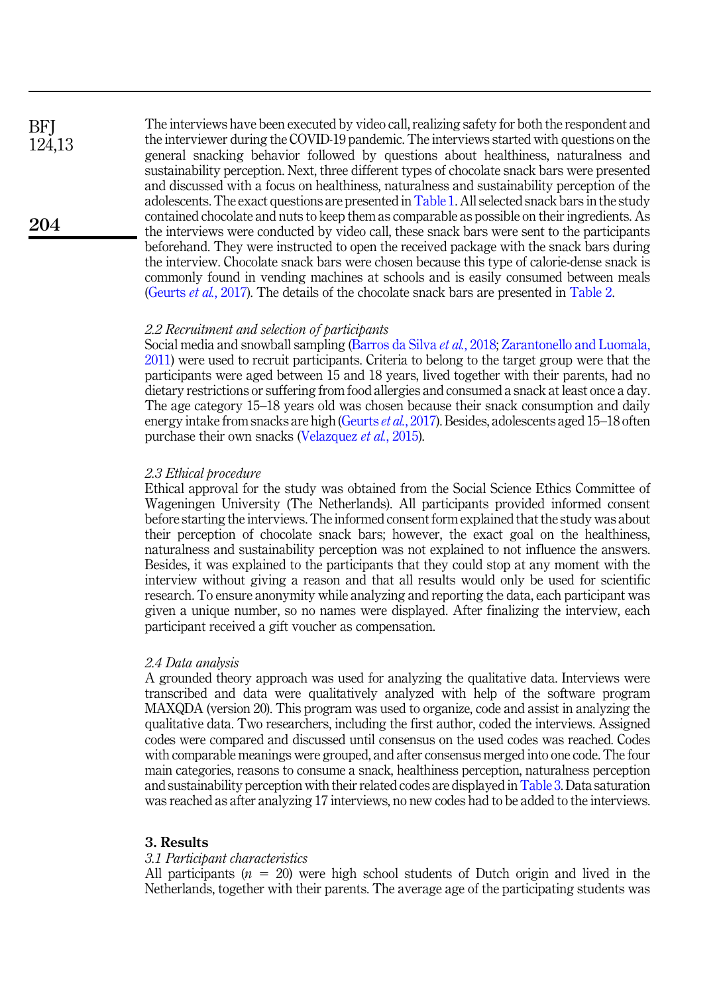The interviews have been executed by video call, realizing safety for both the respondent and the interviewer during the COVID-19 pandemic. The interviews started with questions on the general snacking behavior followed by questions about healthiness, naturalness and sustainability perception. Next, three different types of chocolate snack bars were presented and discussed with a focus on healthiness, naturalness and sustainability perception of the adolescents. The exact questions are presented in [Table 1](#page-3-0). All selected snack bars in the study contained chocolate and nuts to keep them as comparable as possible on their ingredients. As the interviews were conducted by video call, these snack bars were sent to the participants beforehand. They were instructed to open the received package with the snack bars during the interview. Chocolate snack bars were chosen because this type of calorie-dense snack is commonly found in vending machines at schools and is easily consumed between meals ([Geurts](#page-14-5) *et al.*, 2017). The details of the chocolate snack bars are presented in [Table 2.](#page-5-0)

### 2.2 Recruitment and selection of participants

Social media and snowball sampling ([Barros da Silva](#page-12-3) et al., 2018; [Zarantonello and Luomala,](#page-18-5) [2011\)](#page-18-5) were used to recruit participants. Criteria to belong to the target group were that the participants were aged between 15 and 18 years, lived together with their parents, had no dietary restrictions or suffering from food allergies and consumed a snack at least once a day. The age category 15–18 years old was chosen because their snack consumption and daily energy intake from snacks are high ([Geurts](#page-14-5) et al., 2017). Besides, adolescents aged 15-18 often purchase their own snacks ([Velazquez](#page-18-2) *et al.*, 2015).

#### 2.3 Ethical procedure

Ethical approval for the study was obtained from the Social Science Ethics Committee of Wageningen University (The Netherlands). All participants provided informed consent before starting the interviews. The informed consent form explained that the study was about their perception of chocolate snack bars; however, the exact goal on the healthiness, naturalness and sustainability perception was not explained to not influence the answers. Besides, it was explained to the participants that they could stop at any moment with the interview without giving a reason and that all results would only be used for scientific research. To ensure anonymity while analyzing and reporting the data, each participant was given a unique number, so no names were displayed. After finalizing the interview, each participant received a gift voucher as compensation.

#### 2.4 Data analysis

A grounded theory approach was used for analyzing the qualitative data. Interviews were transcribed and data were qualitatively analyzed with help of the software program MAXQDA (version 20). This program was used to organize, code and assist in analyzing the qualitative data. Two researchers, including the first author, coded the interviews. Assigned codes were compared and discussed until consensus on the used codes was reached. Codes with comparable meanings were grouped, and after consensus merged into one code. The four main categories, reasons to consume a snack, healthiness perception, naturalness perception and sustainability perception with their related codes are displayed in [Table 3.](#page-6-0) Data saturation was reached as after analyzing 17 interviews, no new codes had to be added to the interviews.

#### 3. Results

#### 3.1 Participant characteristics

All participants  $(n = 20)$  were high school students of Dutch origin and lived in the Netherlands, together with their parents. The average age of the participating students was

**BFI** 124,13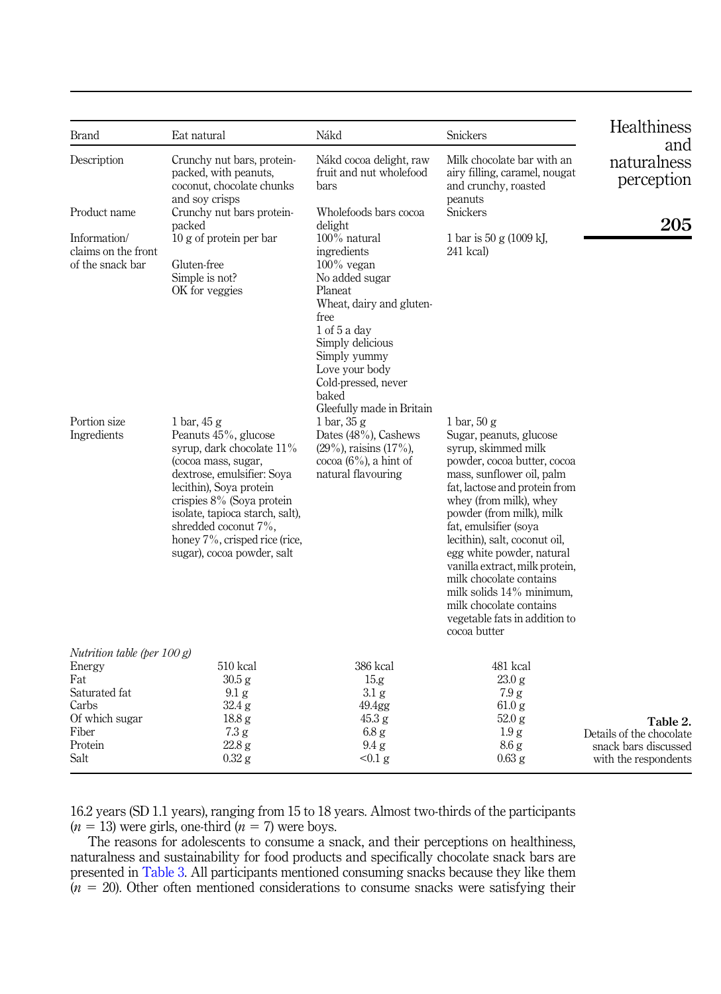<span id="page-5-0"></span>

| Brand                                                                                                                   | Eat natural                                                                                                                                                                                                                                                                                                 | Nákd                                                                                                                                                                                                                   | <b>Snickers</b>                                                                                                                                                                                                                                                                                                                                                                                                                                                                   | Healthiness                                                                          |
|-------------------------------------------------------------------------------------------------------------------------|-------------------------------------------------------------------------------------------------------------------------------------------------------------------------------------------------------------------------------------------------------------------------------------------------------------|------------------------------------------------------------------------------------------------------------------------------------------------------------------------------------------------------------------------|-----------------------------------------------------------------------------------------------------------------------------------------------------------------------------------------------------------------------------------------------------------------------------------------------------------------------------------------------------------------------------------------------------------------------------------------------------------------------------------|--------------------------------------------------------------------------------------|
| Description                                                                                                             | Crunchy nut bars, protein-<br>packed, with peanuts,<br>coconut, chocolate chunks<br>and soy crisps                                                                                                                                                                                                          | Nákd cocoa delight, raw<br>fruit and nut wholefood<br>bars                                                                                                                                                             | Milk chocolate bar with an<br>airy filling, caramel, nougat<br>and crunchy, roasted<br>peanuts                                                                                                                                                                                                                                                                                                                                                                                    | and<br>naturalness<br>perception                                                     |
| Product name                                                                                                            | Crunchy nut bars protein-<br>packed                                                                                                                                                                                                                                                                         | Wholefoods bars cocoa<br>delight                                                                                                                                                                                       | <b>Snickers</b>                                                                                                                                                                                                                                                                                                                                                                                                                                                                   | 205                                                                                  |
| Information/<br>claims on the front<br>of the snack bar                                                                 | $10 g$ of protein per bar<br>Gluten-free<br>Simple is not?<br>OK for veggies                                                                                                                                                                                                                                | 100% natural<br>ingredients<br>$100\%$ vegan<br>No added sugar<br>Planeat<br>Wheat, dairy and gluten-<br>free<br>$1$ of $5a$ day<br>Simply delicious<br>Simply yummy<br>Love your body<br>Cold-pressed, never<br>baked | 1 bar is 50 g $(1009 \text{ kJ})$ ,<br>241 kcal)                                                                                                                                                                                                                                                                                                                                                                                                                                  |                                                                                      |
| Portion size<br>Ingredients                                                                                             | 1 bar, $45g$<br>Peanuts 45%, glucose<br>syrup, dark chocolate $11\%$<br>(cocoa mass, sugar,<br>dextrose, emulsifier: Soya<br>lecithin), Soya protein<br>crispies 8% (Soya protein<br>isolate, tapioca starch, salt),<br>shredded coconut 7%,<br>honey 7%, crisped rice (rice,<br>sugar), cocoa powder, salt | Gleefully made in Britain<br>$1 \text{ bar}$ , $35 \text{ g}$<br>Dates (48%), Cashews<br>$(29\%)$ , raisins $(17\%)$ ,<br>cocoa $(6\%)$ , a hint of<br>natural flavouring                                              | 1 bar, $50 g$<br>Sugar, peanuts, glucose<br>syrup, skimmed milk<br>powder, cocoa butter, cocoa<br>mass, sunflower oil, palm<br>fat, lactose and protein from<br>whey (from milk), whey<br>powder (from milk), milk<br>fat, emulsifier (soya<br>lecithin), salt, coconut oil,<br>egg white powder, natural<br>vanilla extract, milk protein,<br>milk chocolate contains<br>milk solids $14\%$ minimum,<br>milk chocolate contains<br>vegetable fats in addition to<br>cocoa butter |                                                                                      |
| Nutrition table (per $100 g$ )<br>Energy<br>Fat<br>Saturated fat<br>Carbs<br>Of which sugar<br>Fiber<br>Protein<br>Salt | 510 kcal<br>30.5 g<br>$9.1\mathrm{g}$<br>32.4 g<br>18.8 <sub>g</sub><br>7.3 g<br>22.8 g<br>$0.32$ g                                                                                                                                                                                                         | 386 kcal<br>15.g<br>$3.1\text{ g}$<br>49.4gg<br>45.3 g<br>6.8 <sub>g</sub><br>$9.4\text{ g}$<br>$< 0.1$ g                                                                                                              | 481 kcal<br>23.0 g<br>7.9 g<br>61.0 g<br>52.0 g<br>1.9 <sub>g</sub><br>8.6 <sub>g</sub><br>$0.63$ g                                                                                                                                                                                                                                                                                                                                                                               | Table 2.<br>Details of the chocolate<br>snack bars discussed<br>with the respondents |

16.2 years (SD 1.1 years), ranging from 15 to 18 years. Almost two-thirds of the participants  $(n = 13)$  were girls, one-third  $(n = 7)$  were boys.

The reasons for adolescents to consume a snack, and their perceptions on healthiness, naturalness and sustainability for food products and specifically chocolate snack bars are presented in [Table 3](#page-6-0). All participants mentioned consuming snacks because they like them  $(n = 20)$ . Other often mentioned considerations to consume snacks were satisfying their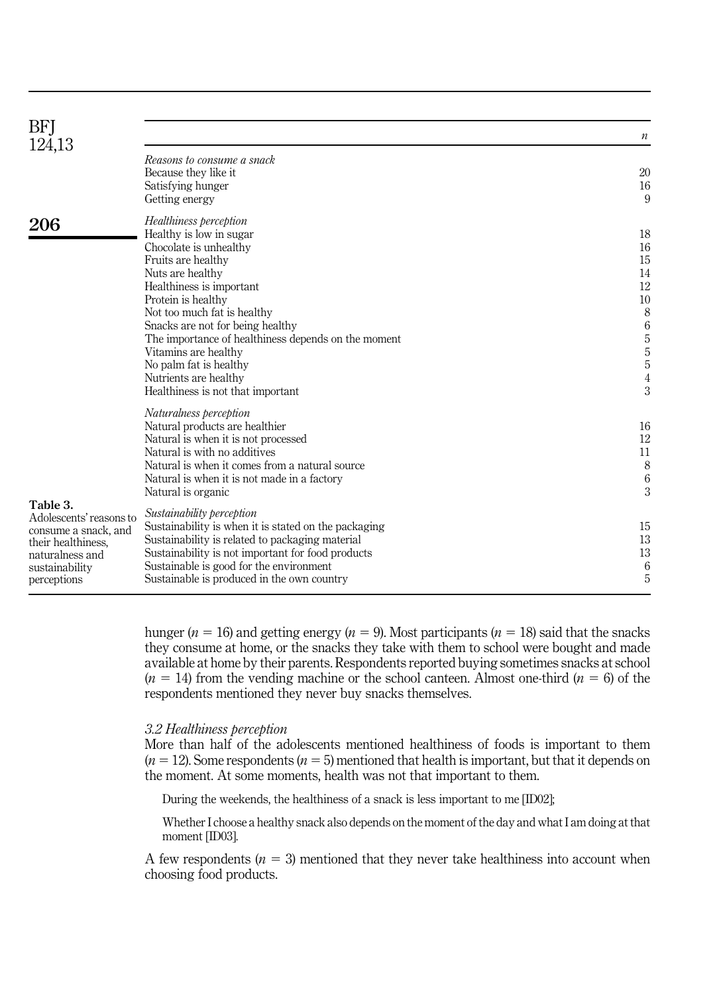<span id="page-6-0"></span>

| BFJ                                                                                                                       |                                                                                                                                                                                                                                                                                                                                                                                                                   |                                                                                                                                 |
|---------------------------------------------------------------------------------------------------------------------------|-------------------------------------------------------------------------------------------------------------------------------------------------------------------------------------------------------------------------------------------------------------------------------------------------------------------------------------------------------------------------------------------------------------------|---------------------------------------------------------------------------------------------------------------------------------|
| 124,13                                                                                                                    |                                                                                                                                                                                                                                                                                                                                                                                                                   | $\boldsymbol{n}$                                                                                                                |
|                                                                                                                           | Reasons to consume a snack<br>Because they like it<br>Satisfying hunger<br>Getting energy                                                                                                                                                                                                                                                                                                                         | 20<br>16<br>9                                                                                                                   |
| 206                                                                                                                       | Healthiness perception<br>Healthy is low in sugar<br>Chocolate is unhealthy<br>Fruits are healthy<br>Nuts are healthy<br>Healthiness is important<br>Protein is healthy<br>Not too much fat is healthy<br>Snacks are not for being healthy<br>The importance of healthiness depends on the moment<br>Vitamins are healthy<br>No palm fat is healthy<br>Nutrients are healthy<br>Healthiness is not that important | 18<br>16<br>15<br>14<br>12<br>10<br>$\,$ 8 $\,$<br>$\,6\,$<br>$\sqrt{5}$<br>$\overline{5}$<br>$\sqrt{5}$<br>$\overline{4}$<br>3 |
| Table 3.                                                                                                                  | Naturalness perception<br>Natural products are healthier<br>Natural is when it is not processed<br>Natural is with no additives<br>Natural is when it comes from a natural source<br>Natural is when it is not made in a factory<br>Natural is organic                                                                                                                                                            | 16<br>12<br>11<br>$\,$ 8 $\,$<br>6<br>3                                                                                         |
| Adolescents' reasons to<br>consume a snack, and<br>their healthiness.<br>naturalness and<br>sustainability<br>perceptions | Sustainability perception<br>Sustainability is when it is stated on the packaging<br>Sustainability is related to packaging material<br>Sustainability is not important for food products<br>Sustainable is good for the environment<br>Sustainable is produced in the own country                                                                                                                                | 15<br>13<br>13<br>6<br>5                                                                                                        |

hunger ( $n = 16$ ) and getting energy ( $n = 9$ ). Most participants ( $n = 18$ ) said that the snacks they consume at home, or the snacks they take with them to school were bought and made available at home by their parents. Respondents reported buying sometimes snacks at school  $(n = 14)$  from the vending machine or the school canteen. Almost one-third  $(n = 6)$  of the respondents mentioned they never buy snacks themselves.

#### 3.2 Healthiness perception

More than half of the adolescents mentioned healthiness of foods is important to them  $(n = 12)$ . Some respondents  $(n = 5)$  mentioned that health is important, but that it depends on the moment. At some moments, health was not that important to them.

During the weekends, the healthiness of a snack is less important to me [ID02];

Whether I choose a healthy snack also depends on the moment of the day and what I am doing at that moment [ID03].

A few respondents  $(n = 3)$  mentioned that they never take healthiness into account when choosing food products.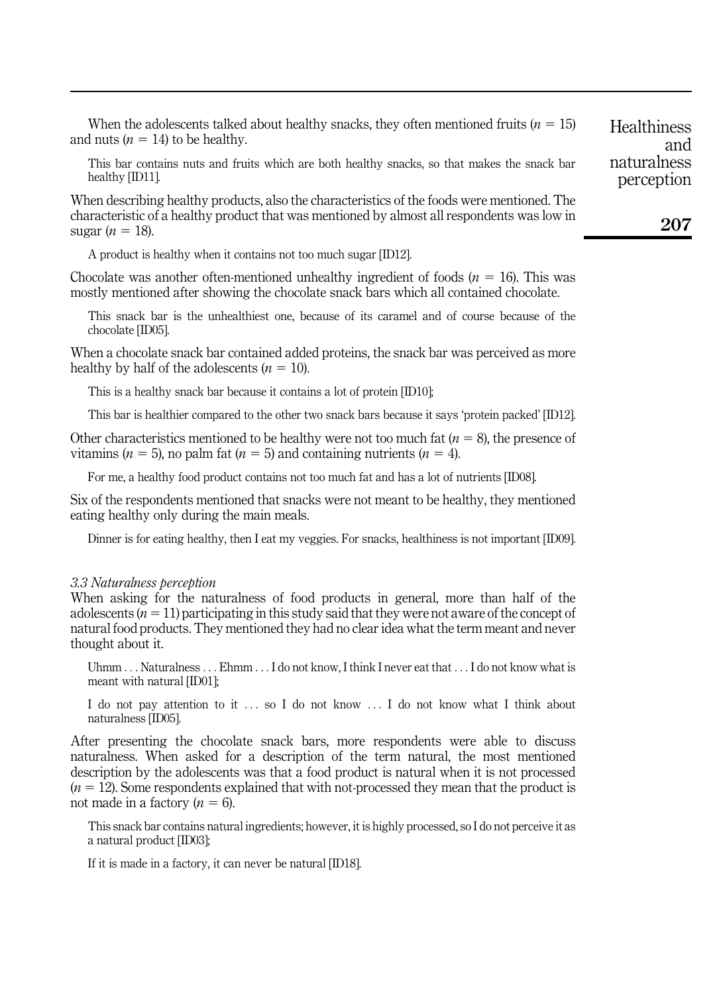When the adolescents talked about healthy snacks, they often mentioned fruits ( $n = 15$ ) and nuts  $(n = 14)$  to be healthy.

This bar contains nuts and fruits which are both healthy snacks, so that makes the snack bar healthy [ID11].

When describing healthy products, also the characteristics of the foods were mentioned. The characteristic of a healthy product that was mentioned by almost all respondents was low in sugar  $(n = 18)$ .

A product is healthy when it contains not too much sugar [ID12].

Chocolate was another often-mentioned unhealthy ingredient of foods  $(n = 16)$ . This was mostly mentioned after showing the chocolate snack bars which all contained chocolate.

This snack bar is the unhealthiest one, because of its caramel and of course because of the chocolate [ID05].

When a chocolate snack bar contained added proteins, the snack bar was perceived as more healthy by half of the adolescents  $(n = 10)$ .

This is a healthy snack bar because it contains a lot of protein [ID10];

This bar is healthier compared to the other two snack bars because it says 'protein packed' [ID12].

Other characteristics mentioned to be healthy were not too much fat  $(n = 8)$ , the presence of vitamins ( $n = 5$ ), no palm fat ( $n = 5$ ) and containing nutrients ( $n = 4$ ).

For me, a healthy food product contains not too much fat and has a lot of nutrients [ID08].

Six of the respondents mentioned that snacks were not meant to be healthy, they mentioned eating healthy only during the main meals.

Dinner is for eating healthy, then I eat my veggies. For snacks, healthiness is not important [ID09].

#### 3.3 Naturalness perception

When asking for the naturalness of food products in general, more than half of the adolescents  $(n = 11)$  participating in this study said that they were not aware of the concept of natural food products. They mentioned they had no clear idea what the term meant and never thought about it.

Uhmm ... Naturalness ... Ehmm ... I do not know, I think I never eat that ... I do not know what is meant with natural [ID01];

I do not pay attention to it ... so I do not know ... I do not know what I think about naturalness [ID05].

After presenting the chocolate snack bars, more respondents were able to discuss naturalness. When asked for a description of the term natural, the most mentioned description by the adolescents was that a food product is natural when it is not processed  $(n = 12)$ . Some respondents explained that with not-processed they mean that the product is not made in a factory  $(n = 6)$ .

This snack bar contains natural ingredients; however, it is highly processed, so I do not perceive it as a natural product [ID03];

If it is made in a factory, it can never be natural [ID18].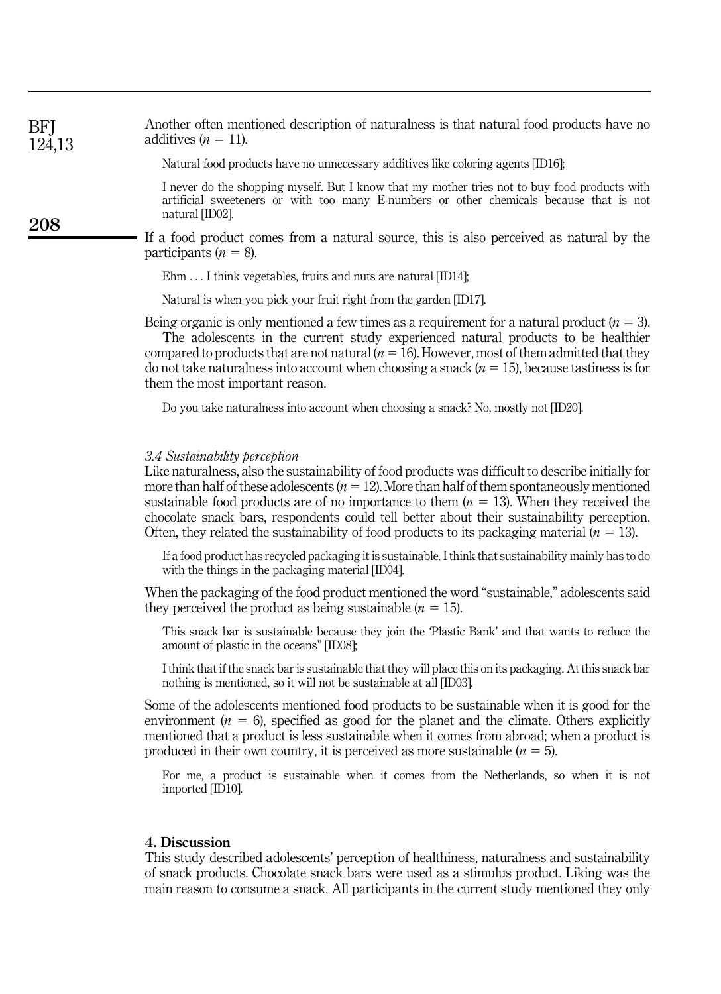| BFJ    | Another often mentioned description of naturalness is that natural food products have no |
|--------|------------------------------------------------------------------------------------------|
| 124,13 | additives $(n = 11)$ .                                                                   |

Natural food products have no unnecessary additives like coloring agents [ID16];

I never do the shopping myself. But I know that my mother tries not to buy food products with artificial sweeteners or with too many E-numbers or other chemicals because that is not natural [ID02].

If a food product comes from a natural source, this is also perceived as natural by the participants  $(n = 8)$ .

Ehm ... I think vegetables, fruits and nuts are natural [ID14];

Natural is when you pick your fruit right from the garden [ID17].

Being organic is only mentioned a few times as a requirement for a natural product  $(n = 3)$ . The adolescents in the current study experienced natural products to be healthier compared to products that are not natural  $(n = 16)$ . However, most of them admitted that they

do not take naturalness into account when choosing a snack  $(n = 15)$ , because tastiness is for them the most important reason.

Do you take naturalness into account when choosing a snack? No, mostly not [ID20].

#### 3.4 Sustainability perception

208

Like naturalness, also the sustainability of food products was difficult to describe initially for more than half of these adolescents  $(n = 12)$ . More than half of them spontaneously mentioned sustainable food products are of no importance to them  $(n = 13)$ . When they received the chocolate snack bars, respondents could tell better about their sustainability perception. Often, they related the sustainability of food products to its packaging material  $(n = 13)$ .

If a food product has recycled packaging it is sustainable. I think that sustainability mainly has to do with the things in the packaging material [ID04].

When the packaging of the food product mentioned the word "sustainable," adolescents said they perceived the product as being sustainable  $(n = 15)$ .

This snack bar is sustainable because they join the 'Plastic Bank' and that wants to reduce the amount of plastic in the oceans" [ID08];

I think that if the snack bar is sustainable that they will place this on its packaging. At this snack bar nothing is mentioned, so it will not be sustainable at all [ID03].

Some of the adolescents mentioned food products to be sustainable when it is good for the environment ( $n = 6$ ), specified as good for the planet and the climate. Others explicitly mentioned that a product is less sustainable when it comes from abroad; when a product is produced in their own country, it is perceived as more sustainable  $(n = 5)$ .

For me, a product is sustainable when it comes from the Netherlands, so when it is not imported [ID10].

#### 4. Discussion

This study described adolescents' perception of healthiness, naturalness and sustainability of snack products. Chocolate snack bars were used as a stimulus product. Liking was the main reason to consume a snack. All participants in the current study mentioned they only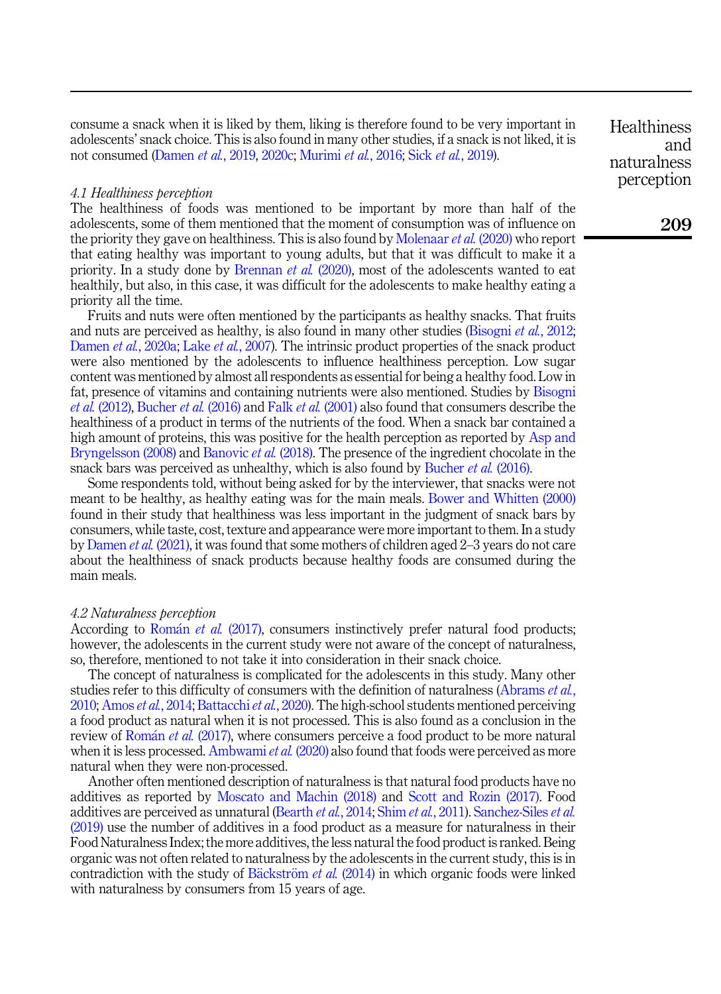consume a snack when it is liked by them, liking is therefore found to be very important in adolescents' snack choice. This is also found in many other studies, if a snack is not liked, it is not consumed [\(Damen](#page-13-5) et al., 2019, [2020c;](#page-13-10) [Murimi](#page-15-11) et al., 2016; Sick et al.[, 2019\)](#page-17-8).

#### 4.1 Healthiness perception

The healthiness of foods was mentioned to be important by more than half of the adolescents, some of them mentioned that the moment of consumption was of influence on the priority they gave on healthiness. This is also found by [Molenaar](#page-15-4) *et al.* (2020) who report that eating healthy was important to young adults, but that it was difficult to make it a priority. In a study done by [Brennan](#page-13-1) *et al.*  $(2020)$ , most of the adolescents wanted to eat healthily, but also, in this case, it was difficult for the adolescents to make healthy eating a priority all the time.

Fruits and nuts were often mentioned by the participants as healthy snacks. That fruits and nuts are perceived as healthy, is also found in many other studies [\(Bisogni](#page-13-11) *et al.*, 2012; [Damen](#page-13-12) et al., 2020a; Lake et al.[, 2007\)](#page-15-12). The intrinsic product properties of the snack product were also mentioned by the adolescents to influence healthiness perception. Low sugar content was mentioned by almost all respondents as essential for being a healthy food. Low in fat, presence of vitamins and containing nutrients were also mentioned. Studies by [Bisogni](#page-13-11) et al. [\(2012\),](#page-13-11) [Bucher](#page-13-13) et al. (2016) and Falk et al. [\(2001\)](#page-14-13) also found that consumers describe the healthiness of a product in terms of the nutrients of the food. When a snack bar contained a high amount of proteins, this was positive for the health perception as reported by [Asp and](#page-12-4) [Bryngelsson \(2008\)](#page-12-4) and [Banovic](#page-12-5) *et al.* (2018). The presence of the ingredient chocolate in the snack bars was perceived as unhealthy, which is also found by [Bucher](#page-13-13) et al. (2016).

Some respondents told, without being asked for by the interviewer, that snacks were not meant to be healthy, as healthy eating was for the main meals. [Bower and Whitten \(2000\)](#page-13-14) found in their study that healthiness was less important in the judgment of snack bars by consumers, while taste, cost, texture and appearance were more important to them. In a study by [Damen](#page-13-15) et al. (2021), it was found that some mothers of children aged 2–3 years do not care about the healthiness of snack products because healthy foods are consumed during the main meals.

#### 4.2 Naturalness perception

According to [Rom](#page-16-6)án et al. [\(2017\),](#page-16-6) consumers instinctively prefer natural food products; however, the adolescents in the current study were not aware of the concept of naturalness, so, therefore, mentioned to not take it into consideration in their snack choice.

The concept of naturalness is complicated for the adolescents in this study. Many other studies refer to this difficulty of consumers with the definition of naturalness [\(Abrams](#page-12-6) et al., [2010;](#page-12-6) [Amos](#page-12-7) et al., 2014; [Battacchi](#page-12-2) et al., 2020). The high-school students mentioned perceiving a food product as natural when it is not processed. This is also found as a conclusion in the review of [Rom](#page-16-6)án *et al.* [\(2017\)](#page-16-6), where consumers perceive a food product to be more natural when it is less processed. [Ambwami](#page-12-8) et al.  $(2020)$  also found that foods were perceived as more natural when they were non-processed.

Another often mentioned description of naturalness is that natural food products have no additives as reported by [Moscato and Machin \(2018\)](#page-15-13) and [Scott and Rozin \(2017\)](#page-17-9). Food additives are perceived as unnatural ([Bearth](#page-12-9) et al., 2014; Shim et al.[, 2011](#page-17-10)). [Sanchez-Siles](#page-17-11) et al. [\(2019\)](#page-17-11) use the number of additives in a food product as a measure for naturalness in their Food Naturalness Index; the more additives, the less natural the food product is ranked. Being organic was not often related to naturalness by the adolescents in the current study, this is in contradiction with the study of [B](#page-12-10)äckström et al.  $(2014)$  in which organic foods were linked with naturalness by consumers from 15 years of age.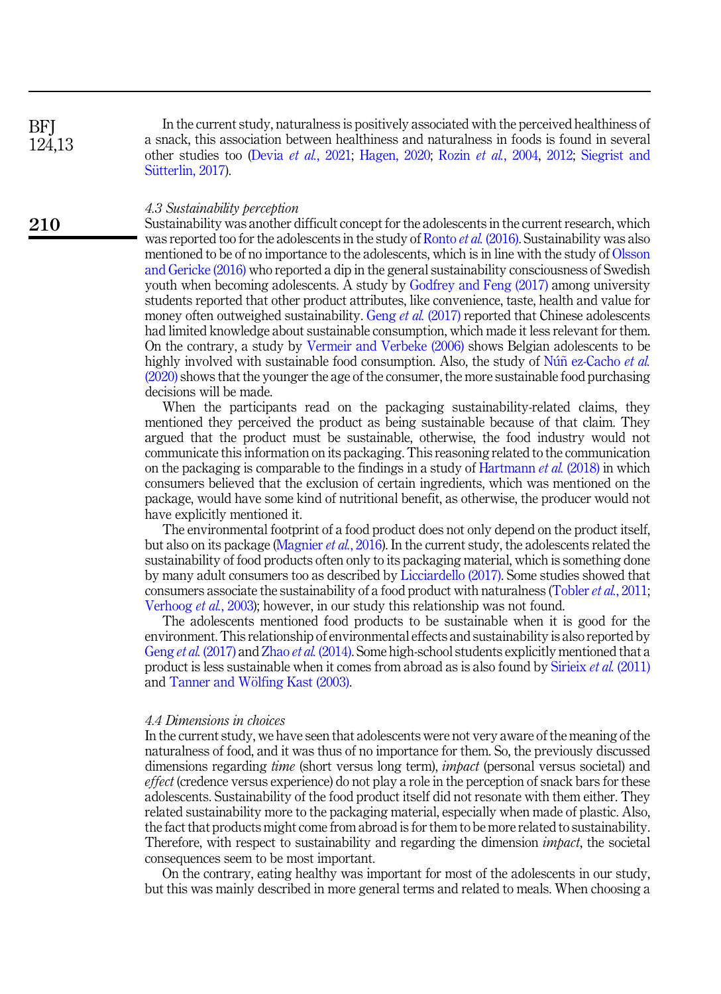**BFI** 124,13

210

In the current study, naturalness is positively associated with the perceived healthiness of a snack, this association between healthiness and naturalness in foods is found in several other studies too (Devia et al.[, 2021](#page-14-6); [Hagen, 2020;](#page-14-7) Rozin et al.[, 2004](#page-16-11), [2012](#page-16-3); [Siegrist and](#page-17-12) Sütterlin, 2017).

#### 4.3 Sustainability perception

Sustainability was another difficult concept for the adolescents in the current research, which was reported too for the adolescents in the study of Ronto *et al.* [\(2016\).](#page-16-12) Sustainability was also mentioned to be of no importance to the adolescents, which is in line with the study of [Olsson](#page-16-13) [and Gericke \(2016\)](#page-16-13) who reported a dip in the general sustainability consciousness of Swedish youth when becoming adolescents. A study by [Godfrey and Feng \(2017\)](#page-14-14) among university students reported that other product attributes, like convenience, taste, health and value for money often outweighed sustainability. Geng et al. [\(2017\)](#page-14-15) reported that Chinese adolescents had limited knowledge about sustainable consumption, which made it less relevant for them. On the contrary, a study by [Vermeir and Verbeke \(2006\)](#page-18-6) shows Belgian adolescents to be highly involved with sustainable food consumption. Also, the study of  $N$ u[n ez-Cacho](#page-16-14) *et al.* [\(2020\)](#page-16-14) shows that the younger the age of the consumer, the more sustainable food purchasing decisions will be made.

When the participants read on the packaging sustainability-related claims, they mentioned they perceived the product as being sustainable because of that claim. They argued that the product must be sustainable, otherwise, the food industry would not communicate this information on its packaging. This reasoning related to the communication on the packaging is comparable to the findings in a study of [Hartmann](#page-14-16) *et al.* (2018) in which consumers believed that the exclusion of certain ingredients, which was mentioned on the package, would have some kind of nutritional benefit, as otherwise, the producer would not have explicitly mentioned it.

The environmental footprint of a food product does not only depend on the product itself, but also on its package [\(Magnier](#page-15-14) et al., 2016). In the current study, the adolescents related the sustainability of food products often only to its packaging material, which is something done by many adult consumers too as described by [Licciardello \(2017\).](#page-15-15) Some studies showed that consumers associate the sustainability of a food product with naturalness ([Tobler](#page-17-13) *et al.*, 2011; [Verhoog](#page-18-7) et al., 2003); however, in our study this relationship was not found.

The adolescents mentioned food products to be sustainable when it is good for the environment. This relationship of environmental effects and sustainability is also reported by Geng et al. [\(2017\)](#page-14-15) and Zhao et al. [\(2014\).](#page-18-8) Some high-school students explicitly mentioned that a product is less sustainable when it comes from abroad as is also found by [Sirieix](#page-17-4) et al. (2011) and [Tanner and W](#page-17-14)ölfing Kast (2003).

#### 4.4 Dimensions in choices

In the current study, we have seen that adolescents were not very aware of the meaning of the naturalness of food, and it was thus of no importance for them. So, the previously discussed dimensions regarding *time* (short versus long term), *impact* (personal versus societal) and effect (credence versus experience) do not play a role in the perception of snack bars for these adolescents. Sustainability of the food product itself did not resonate with them either. They related sustainability more to the packaging material, especially when made of plastic. Also, the fact that products might come from abroad is for them to be more related to sustainability. Therefore, with respect to sustainability and regarding the dimension impact, the societal consequences seem to be most important.

On the contrary, eating healthy was important for most of the adolescents in our study, but this was mainly described in more general terms and related to meals. When choosing a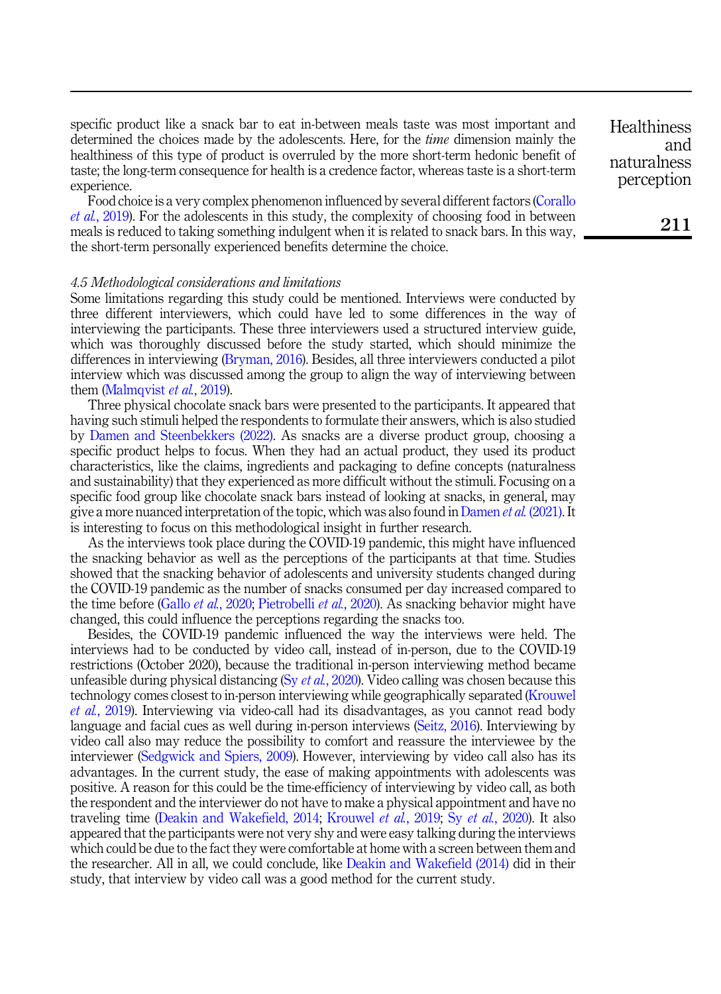specific product like a snack bar to eat in-between meals taste was most important and determined the choices made by the adolescents. Here, for the *time* dimension mainly the healthiness of this type of product is overruled by the more short-term hedonic benefit of taste; the long-term consequence for health is a credence factor, whereas taste is a short-term experience.

Food choice is a very complex phenomenon influenced by several different factors [\(Corallo](#page-13-16) et al.[, 2019](#page-13-16)). For the adolescents in this study, the complexity of choosing food in between meals is reduced to taking something indulgent when it is related to snack bars. In this way, the short-term personally experienced benefits determine the choice.

#### 4.5 Methodological considerations and limitations

Some limitations regarding this study could be mentioned. Interviews were conducted by three different interviewers, which could have led to some differences in the way of interviewing the participants. These three interviewers used a structured interview guide, which was thoroughly discussed before the study started, which should minimize the differences in interviewing [\(Bryman, 2016\)](#page-13-17). Besides, all three interviewers conducted a pilot interview which was discussed among the group to align the way of interviewing between them [\(Malmqvist](#page-15-10) *et al.*, 2019).

Three physical chocolate snack bars were presented to the participants. It appeared that having such stimuli helped the respondents to formulate their answers, which is also studied by [Damen and Steenbekkers \(2022\).](#page-13-18) As snacks are a diverse product group, choosing a specific product helps to focus. When they had an actual product, they used its product characteristics, like the claims, ingredients and packaging to define concepts (naturalness and sustainability) that they experienced as more difficult without the stimuli. Focusing on a specific food group like chocolate snack bars instead of looking at snacks, in general, may give a more nuanced interpretation of the topic, which was also found in [Damen](#page-13-15) *et al.* (2021). It is interesting to focus on this methodological insight in further research.

As the interviews took place during the COVID-19 pandemic, this might have influenced the snacking behavior as well as the perceptions of the participants at that time. Studies showed that the snacking behavior of adolescents and university students changed during the COVID-19 pandemic as the number of snacks consumed per day increased compared to the time before (Gallo *et al.*[, 2020](#page-14-17); [Pietrobelli](#page-16-15) *et al.*, 2020). As snacking behavior might have changed, this could influence the perceptions regarding the snacks too.

Besides, the COVID-19 pandemic influenced the way the interviews were held. The interviews had to be conducted by video call, instead of in-person, due to the COVID-19 restrictions (October 2020), because the traditional in-person interviewing method became unfeasible during physical distancing (Sy  $et al.$ [, 2020\)](#page-17-15). Video calling was chosen because this technology comes closest to in-person interviewing while geographically separated ([Krouwel](#page-15-16) et al.[, 2019\)](#page-15-16). Interviewing via video-call had its disadvantages, as you cannot read body language and facial cues as well during in-person interviews ([Seitz, 2016](#page-17-16)). Interviewing by video call also may reduce the possibility to comfort and reassure the interviewee by the interviewer ([Sedgwick and Spiers, 2009](#page-17-17)). However, interviewing by video call also has its advantages. In the current study, the ease of making appointments with adolescents was positive. A reason for this could be the time-efficiency of interviewing by video call, as both the respondent and the interviewer do not have to make a physical appointment and have no traveling time [\(Deakin and Wakefield, 2014;](#page-14-18) [Krouwel](#page-15-16) et al., 2019; Sy et al.[, 2020\)](#page-17-15). It also appeared that the participants were not very shy and were easy talking during the interviews which could be due to the fact they were comfortable at home with a screen between them and the researcher. All in all, we could conclude, like [Deakin and Wakefield \(2014\)](#page-14-18) did in their study, that interview by video call was a good method for the current study.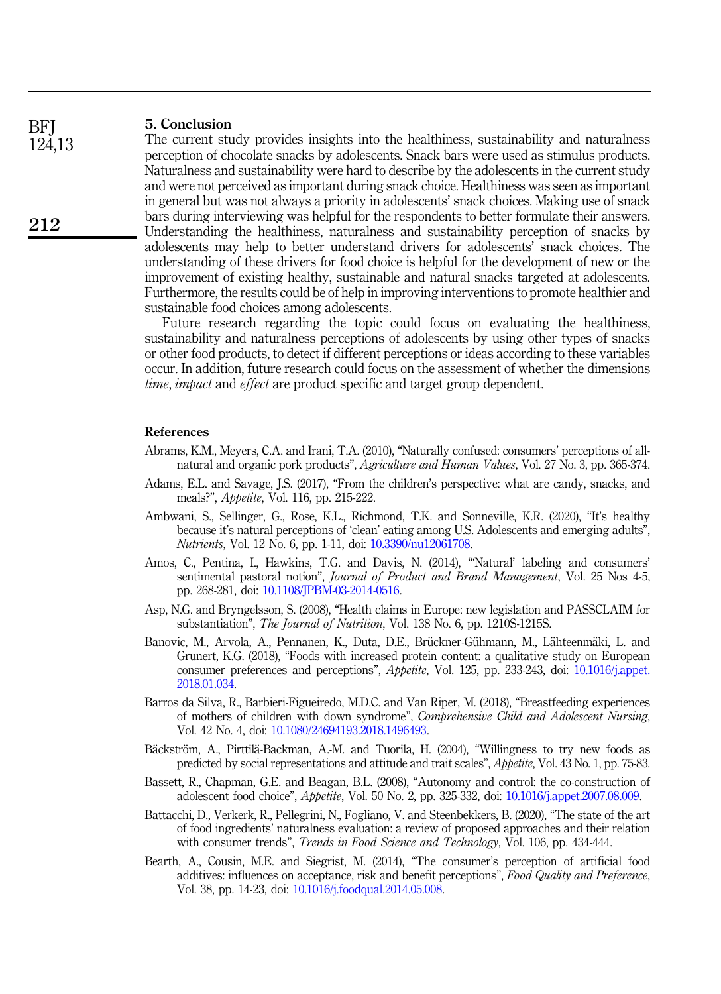#### 5. Conclusion **BFI**

124,13

212

The current study provides insights into the healthiness, sustainability and naturalness perception of chocolate snacks by adolescents. Snack bars were used as stimulus products. Naturalness and sustainability were hard to describe by the adolescents in the current study and were not perceived as important during snack choice. Healthiness was seen as important in general but was not always a priority in adolescents' snack choices. Making use of snack bars during interviewing was helpful for the respondents to better formulate their answers. Understanding the healthiness, naturalness and sustainability perception of snacks by adolescents may help to better understand drivers for adolescents' snack choices. The understanding of these drivers for food choice is helpful for the development of new or the improvement of existing healthy, sustainable and natural snacks targeted at adolescents. Furthermore, the results could be of help in improving interventions to promote healthier and sustainable food choices among adolescents.

Future research regarding the topic could focus on evaluating the healthiness, sustainability and naturalness perceptions of adolescents by using other types of snacks or other food products, to detect if different perceptions or ideas according to these variables occur. In addition, future research could focus on the assessment of whether the dimensions time, impact and effect are product specific and target group dependent.

#### <span id="page-12-6"></span>References

- Abrams, K.M., Meyers, C.A. and Irani, T.A. (2010), "Naturally confused: consumers' perceptions of allnatural and organic pork products", Agriculture and Human Values, Vol. 27 No. 3, pp. 365-374.
- <span id="page-12-1"></span>Adams, E.L. and Savage, J.S. (2017), "From the children's perspective: what are candy, snacks, and meals?", Appetite, Vol. 116, pp. 215-222.
- <span id="page-12-8"></span>Ambwani, S., Sellinger, G., Rose, K.L., Richmond, T.K. and Sonneville, K.R. (2020), "It's healthy because it's natural perceptions of 'clean' eating among U.S. Adolescents and emerging adults", Nutrients, Vol. 12 No. 6, pp. 1-11, doi: [10.3390/nu12061708.](https://doi.org/10.3390/nu12061708)
- <span id="page-12-7"></span>Amos, C., Pentina, I., Hawkins, T.G. and Davis, N. (2014), "'Natural' labeling and consumers' sentimental pastoral notion", Journal of Product and Brand Management, Vol. 25 Nos 4-5, pp. 268-281, doi: [10.1108/JPBM-03-2014-0516](https://doi.org/10.1108/JPBM-03-2014-0516).
- <span id="page-12-4"></span>Asp, N.G. and Bryngelsson, S. (2008), "Health claims in Europe: new legislation and PASSCLAIM for substantiation", The Journal of Nutrition, Vol. 138 No. 6, pp. 1210S-1215S.
- <span id="page-12-5"></span>Banovic, M., Arvola, A., Pennanen, K., Duta, D.E., Brückner-Gühmann, M., Lähteenmäki, L. and Grunert, K.G. (2018), "Foods with increased protein content: a qualitative study on European consumer preferences and perceptions", Appetite, Vol. 125, pp. 233-243, doi: [10.1016/j.appet.](https://doi.org/10.1016/j.appet.2018.01.034) [2018.01.034](https://doi.org/10.1016/j.appet.2018.01.034).
- <span id="page-12-3"></span>Barros da Silva, R., Barbieri-Figueiredo, M.D.C. and Van Riper, M. (2018), "Breastfeeding experiences of mothers of children with down syndrome", Comprehensive Child and Adolescent Nursing, Vol. 42 No. 4, doi: [10.1080/24694193.2018.1496493](https://doi.org/10.1080/24694193.2018.1496493).
- <span id="page-12-10"></span>Bäckström, A., Pirttilä-Backman, A.-M. and Tuorila, H. (2004), "Willingness to try new foods as predicted by social representations and attitude and trait scales", Appetite, Vol. 43 No. 1, pp. 75-83.
- <span id="page-12-0"></span>Bassett, R., Chapman, G.E. and Beagan, B.L. (2008), "Autonomy and control: the co-construction of adolescent food choice", Appetite, Vol. 50 No. 2, pp. 325-332, doi: [10.1016/j.appet.2007.08.009.](https://doi.org/10.1016/j.appet.2007.08.009)
- <span id="page-12-2"></span>Battacchi, D., Verkerk, R., Pellegrini, N., Fogliano, V. and Steenbekkers, B. (2020), "The state of the art of food ingredients' naturalness evaluation: a review of proposed approaches and their relation with consumer trends", Trends in Food Science and Technology, Vol. 106, pp. 434-444.
- <span id="page-12-9"></span>Bearth, A., Cousin, M.E. and Siegrist, M. (2014), "The consumer's perception of artificial food additives: influences on acceptance, risk and benefit perceptions", Food Quality and Preference, Vol. 38, pp. 14-23, doi: [10.1016/j.foodqual.2014.05.008.](https://doi.org/10.1016/j.foodqual.2014.05.008)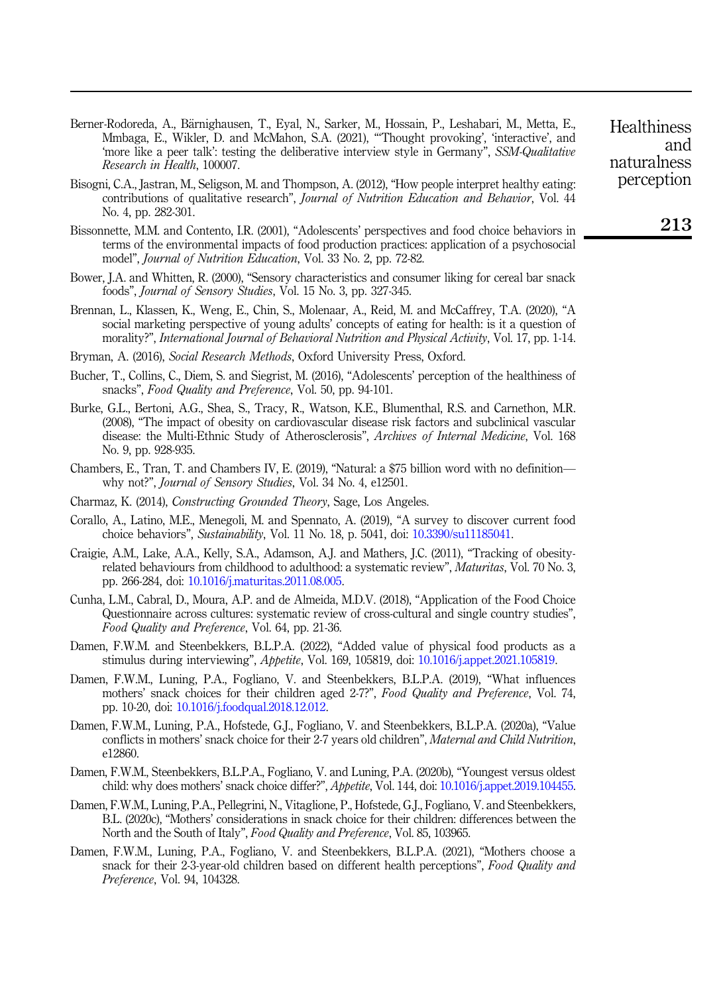- <span id="page-13-7"></span>Berner-Rodoreda, A., Bärnighausen, T., Eyal, N., Sarker, M., Hossain, P., Leshabari, M., Metta, E., Mmbaga, E., Wikler, D. and McMahon, S.A. (2021), "'Thought provoking', 'interactive', and 'minoaga, E., Wikier, D. and Mentanon, S.A. (2021), Thought provoking, interactive, and<br>'more like a peer talk': testing the deliberative interview style in Germany". SSM-Qualitative Research in Health, 100007.
- <span id="page-13-11"></span>Bisogni, C.A., Jastran, M., Seligson, M. and Thompson, A. (2012), "How people interpret healthy eating: contributions of qualitative research", Journal of Nutrition Education and Behavior, Vol. 44 No. 4, pp. 282-301.
- <span id="page-13-2"></span>Bissonnette, M.M. and Contento, I.R. (2001), "Adolescents' perspectives and food choice behaviors in terms of the environmental impacts of food production practices: application of a psychosocial model", Journal of Nutrition Education, Vol. 33 No. 2, pp. 72-82.
- <span id="page-13-14"></span>Bower, J.A. and Whitten, R. (2000), "Sensory characteristics and consumer liking for cereal bar snack foods", Journal of Sensory Studies, Vol. 15 No. 3, pp. 327-345.
- <span id="page-13-1"></span>Brennan, L., Klassen, K., Weng, E., Chin, S., Molenaar, A., Reid, M. and McCaffrey, T.A. (2020), "A social marketing perspective of young adults' concepts of eating for health: is it a question of morality?", International Journal of Behavioral Nutrition and Physical Activity, Vol. 17, pp. 1-14.
- <span id="page-13-17"></span>Bryman, A. (2016), Social Research Methods, Oxford University Press, Oxford.
- <span id="page-13-13"></span>Bucher, T., Collins, C., Diem, S. and Siegrist, M. (2016), "Adolescents' perception of the healthiness of snacks", Food Quality and Preference, Vol. 50, pp. 94-101.
- <span id="page-13-0"></span>Burke, G.L., Bertoni, A.G., Shea, S., Tracy, R., Watson, K.E., Blumenthal, R.S. and Carnethon, M.R. (2008), "The impact of obesity on cardiovascular disease risk factors and subclinical vascular disease: the Multi-Ethnic Study of Atherosclerosis", Archives of Internal Medicine, Vol. 168 No. 9, pp. 928-935.
- <span id="page-13-6"></span>Chambers, E., Tran, T. and Chambers IV, E. (2019), "Natural: a \$75 billion word with no definition why not?", Journal of Sensory Studies, Vol. 34 No. 4, e12501.
- <span id="page-13-8"></span>Charmaz, K. (2014), Constructing Grounded Theory, Sage, Los Angeles.
- <span id="page-13-16"></span>Corallo, A., Latino, M.E., Menegoli, M. and Spennato, A. (2019), "A survey to discover current food choice behaviors", Sustainability, Vol. 11 No. 18, p. 5041, doi: [10.3390/su11185041.](https://doi.org/10.3390/su11185041)
- <span id="page-13-3"></span>Craigie, A.M., Lake, A.A., Kelly, S.A., Adamson, A.J. and Mathers, J.C. (2011), "Tracking of obesityrelated behaviours from childhood to adulthood: a systematic review", Maturitas, Vol. 70 No. 3, pp. 266-284, doi: [10.1016/j.maturitas.2011.08.005](https://doi.org/10.1016/j.maturitas.2011.08.005).
- <span id="page-13-4"></span>Cunha, L.M., Cabral, D., Moura, A.P. and de Almeida, M.D.V. (2018), "Application of the Food Choice Questionnaire across cultures: systematic review of cross-cultural and single country studies", Food Quality and Preference, Vol. 64, pp. 21-36.
- <span id="page-13-18"></span>Damen, F.W.M. and Steenbekkers, B.L.P.A. (2022), "Added value of physical food products as a stimulus during interviewing", Appetite, Vol. 169, 105819, doi: [10.1016/j.appet.2021.105819.](https://doi.org/10.1016/j.appet.2021.105819)
- <span id="page-13-5"></span>Damen, F.W.M., Luning, P.A., Fogliano, V. and Steenbekkers, B.L.P.A. (2019), "What influences mothers' snack choices for their children aged 2-7?", Food Quality and Preference, Vol. 74, pp. 10-20, doi: [10.1016/j.foodqual.2018.12.012](https://doi.org/10.1016/j.foodqual.2018.12.012).
- <span id="page-13-12"></span>Damen, F.W.M., Luning, P.A., Hofstede, G.J., Fogliano, V. and Steenbekkers, B.L.P.A. (2020a), "Value conflicts in mothers' snack choice for their 2-7 years old children", Maternal and Child Nutrition, e12860.
- <span id="page-13-9"></span>Damen, F.W.M., Steenbekkers, B.L.P.A., Fogliano, V. and Luning, P.A. (2020b), "Youngest versus oldest child: why does mothers' snack choice differ?", Appetite, Vol. 144, doi: [10.1016/j.appet.2019.104455](https://doi.org/10.1016/j.appet.2019.104455).
- <span id="page-13-10"></span>Damen, F.W.M., Luning, P.A., Pellegrini, N., Vitaglione, P., Hofstede, G.J., Fogliano, V. and Steenbekkers, B.L. (2020c), "Mothers' considerations in snack choice for their children: differences between the North and the South of Italy", Food Quality and Preference, Vol. 85, 103965.
- <span id="page-13-15"></span>Damen, F.W.M., Luning, P.A., Fogliano, V. and Steenbekkers, B.L.P.A. (2021), "Mothers choose a snack for their 2-3-year-old children based on different health perceptions", Food Quality and Preference, Vol. 94, 104328.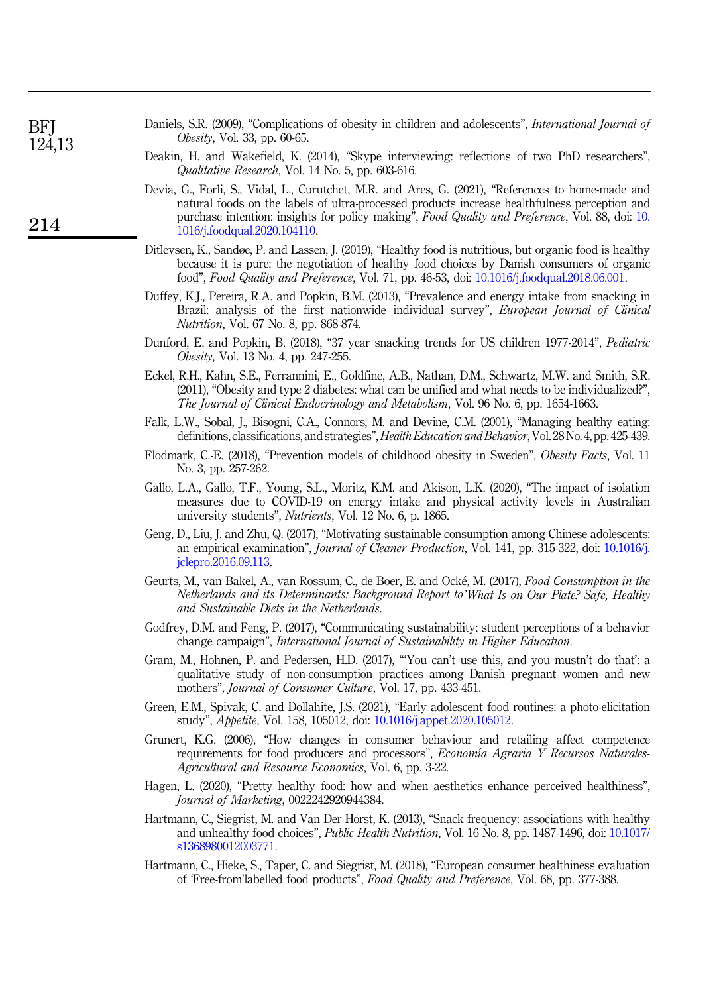| BFJ    | Daniels, S.R. (2009), "Complications of obesity in children and adolescents", <i>International Journal of</i> |
|--------|---------------------------------------------------------------------------------------------------------------|
| 124,13 | <i>Obesity</i> , Vol. 33, pp. 60-65.                                                                          |
|        | Deakin, H. and Wakefield, K. (2014), "Skype interviewing: reflections of two PhD researchers",                |

<span id="page-14-0"></span>Qualitative Research, Vol. 14 No. 5, pp. 603-616.

214

- <span id="page-14-18"></span><span id="page-14-6"></span>Devia, G., Forli, S., Vidal, L., Curutchet, M.R. and Ares, G. (2021), "References to home-made and natural foods on the labels of ultra-processed products increase healthfulness perception and purchase intention: insights for policy making", Food Quality and Preference, Vol. 88, doi: [10.](https://doi.org/10.1016/j.foodqual.2020.104110) [1016/j.foodqual.2020.104110](https://doi.org/10.1016/j.foodqual.2020.104110).
- <span id="page-14-8"></span>Ditlevsen, K., Sandøe, P. and Lassen, J. (2019), "Healthy food is nutritious, but organic food is healthy because it is pure: the negotiation of healthy food choices by Danish consumers of organic food", Food Quality and Preference, Vol. 71, pp. 46-53, doi: [10.1016/j.foodqual.2018.06.001.](https://doi.org/10.1016/j.foodqual.2018.06.001)
- <span id="page-14-11"></span>Duffey, K.J., Pereira, R.A. and Popkin, B.M. (2013), "Prevalence and energy intake from snacking in Brazil: analysis of the first nationwide individual survey", European Journal of Clinical Nutrition, Vol. 67 No. 8, pp. 868-874.
- <span id="page-14-4"></span>Dunford, E. and Popkin, B. (2018), "37 year snacking trends for US children 1977-2014", Pediatric Obesity, Vol. 13 No. 4, pp. 247-255.
- <span id="page-14-1"></span>Eckel, R.H., Kahn, S.E., Ferrannini, E., Goldfine, A.B., Nathan, D.M., Schwartz, M.W. and Smith, S.R. (2011), "Obesity and type 2 diabetes: what can be unified and what needs to be individualized?", The Journal of Clinical Endocrinology and Metabolism, Vol. 96 No. 6, pp. 1654-1663.
- <span id="page-14-13"></span>Falk, L.W., Sobal, J., Bisogni, C.A., Connors, M. and Devine, C.M. (2001), "Managing healthy eating: definitions, classifications, and strategies", Health Education and Behavior, Vol. 28 No. 4, pp. 425-439.
- <span id="page-14-2"></span>Flodmark, C.-E. (2018), "Prevention models of childhood obesity in Sweden", Obesity Facts, Vol. 11 No. 3, pp. 257-262.
- <span id="page-14-17"></span>Gallo, L.A., Gallo, T.F., Young, S.L., Moritz, K.M. and Akison, L.K. (2020), "The impact of isolation measures due to COVID-19 on energy intake and physical activity levels in Australian university students", Nutrients, Vol. 12 No. 6, p. 1865.
- <span id="page-14-15"></span>Geng, D., Liu, J. and Zhu, Q. (2017), "Motivating sustainable consumption among Chinese adolescents: an empirical examination", *Journal of Cleaner Production*, Vol. 141, pp. 315-322, doi: [10.1016/j.](https://doi.org/10.1016/j.jclepro.2016.09.113) [jclepro.2016.09.113.](https://doi.org/10.1016/j.jclepro.2016.09.113)
- <span id="page-14-5"></span>Geurts, M., van Bakel, A., van Rossum, C., de Boer, E. and Ocke, M. (2017), Food Consumption in the Netherlands and its Determinants: Background Report to'What Is on Our Plate? Safe, Healthy and Sustainable Diets in the Netherlands.
- <span id="page-14-14"></span>Godfrey, D.M. and Feng, P. (2017), "Communicating sustainability: student perceptions of a behavior change campaign", International Journal of Sustainability in Higher Education.
- <span id="page-14-10"></span>Gram, M., Hohnen, P. and Pedersen, H.D. (2017), "'You can't use this, and you mustn't do that': a qualitative study of non-consumption practices among Danish pregnant women and new mothers", Journal of Consumer Culture, Vol. 17, pp. 433-451.
- <span id="page-14-3"></span>Green, E.M., Spivak, C. and Dollahite, J.S. (2021), "Early adolescent food routines: a photo-elicitation study", Appetite, Vol. 158, 105012, doi: [10.1016/j.appet.2020.105012.](https://doi.org/10.1016/j.appet.2020.105012)
- <span id="page-14-9"></span>Grunert, K.G. (2006), "How changes in consumer behaviour and retailing affect competence requirements for food producers and processors", Economía Agraria Y Recursos Naturales-Agricultural and Resource Economics, Vol. 6, pp. 3-22.
- <span id="page-14-7"></span>Hagen, L. (2020), "Pretty healthy food: how and when aesthetics enhance perceived healthiness", Journal of Marketing, 0022242920944384.
- <span id="page-14-12"></span>Hartmann, C., Siegrist, M. and Van Der Horst, K. (2013), "Snack frequency: associations with healthy and unhealthy food choices", Public Health Nutrition, Vol. 16 No. 8, pp. 1487-1496, doi: [10.1017/](https://doi.org/10.1017/s1368980012003771) [s1368980012003771](https://doi.org/10.1017/s1368980012003771).
- <span id="page-14-16"></span>Hartmann, C., Hieke, S., Taper, C. and Siegrist, M. (2018), "European consumer healthiness evaluation of 'Free-from'labelled food products", Food Quality and Preference, Vol. 68, pp. 377-388.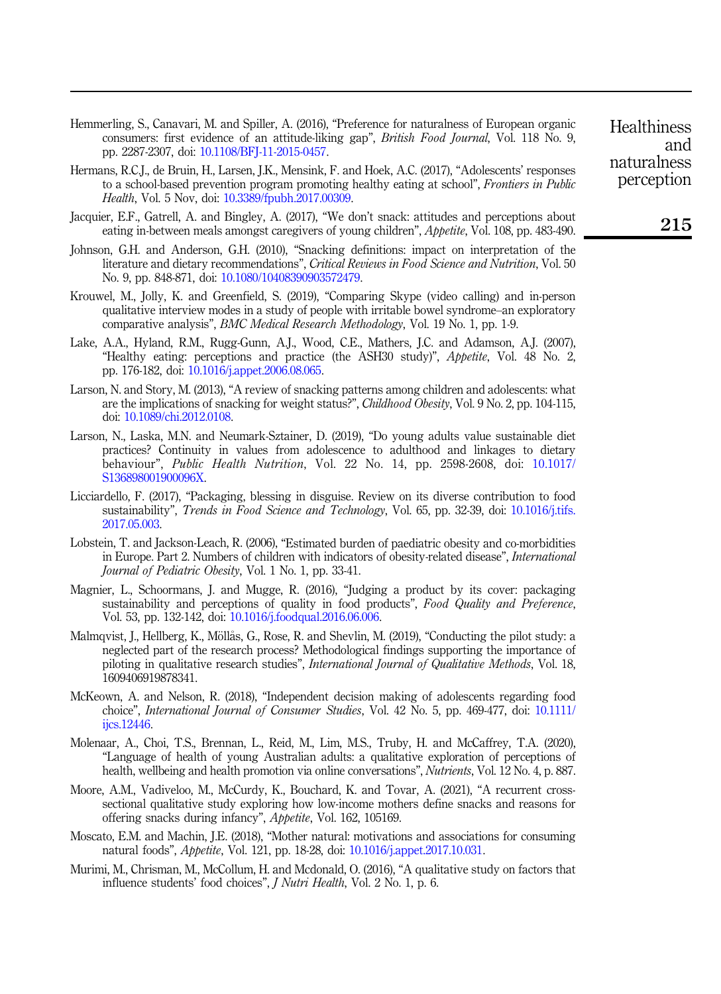- <span id="page-15-5"></span>Hemmerling, S., Canavari, M. and Spiller, A. (2016), "Preference for naturalness of European organic consumers: first evidence of an attitude-liking gap", *British Food Journal*, Vol. 118 No. 9, pp. 2287-2307, doi: [10.1108/BFJ-11-2015-0457](https://doi.org/10.1108/BFJ-11-2015-0457).
- <span id="page-15-2"></span>Hermans, R.C.J., de Bruin, H., Larsen, J.K., Mensink, F. and Hoek, A.C. (2017), "Adolescents' responses to a school-based prevention program promoting healthy eating at school", Frontiers in Public Health, Vol. 5 Nov, doi: [10.3389/fpubh.2017.00309](https://doi.org/10.3389/fpubh.2017.00309).
- <span id="page-15-7"></span>Jacquier, E.F., Gatrell, A. and Bingley, A. (2017), "We don't snack: attitudes and perceptions about eating in-between meals amongst caregivers of young children", Appetite, Vol. 108, pp. 483-490.
- <span id="page-15-9"></span>Johnson, G.H. and Anderson, G.H. (2010), "Snacking definitions: impact on interpretation of the literature and dietary recommendations", Critical Reviews in Food Science and Nutrition, Vol. 50 No. 9, pp. 848-871, doi: [10.1080/10408390903572479.](https://doi.org/10.1080/10408390903572479)
- <span id="page-15-16"></span>Krouwel, M., Jolly, K. and Greenfield, S. (2019), "Comparing Skype (video calling) and in-person qualitative interview modes in a study of people with irritable bowel syndrome–an exploratory comparative analysis", BMC Medical Research Methodology, Vol. 19 No. 1, pp. 1-9.
- <span id="page-15-12"></span>Lake, A.A., Hyland, R.M., Rugg-Gunn, A.J., Wood, C.E., Mathers, J.C. and Adamson, A.J. (2007), "Healthy eating: perceptions and practice (the ASH30 study)", Appetite, Vol. 48 No. 2, pp. 176-182, doi: [10.1016/j.appet.2006.08.065](https://doi.org/10.1016/j.appet.2006.08.065).
- <span id="page-15-3"></span>Larson, N. and Story, M. (2013), "A review of snacking patterns among children and adolescents: what are the implications of snacking for weight status?", Childhood Obesity, Vol. 9 No. 2, pp. 104-115, doi: [10.1089/chi.2012.0108](https://doi.org/10.1089/chi.2012.0108).
- <span id="page-15-6"></span>Larson, N., Laska, M.N. and Neumark-Sztainer, D. (2019), "Do young adults value sustainable diet practices? Continuity in values from adolescence to adulthood and linkages to dietary behaviour", Public Health Nutrition, Vol. 22 No. 14, pp. 2598-2608, doi: [10.1017/](https://doi.org/10.1017/S136898001900096X) [S136898001900096X.](https://doi.org/10.1017/S136898001900096X)
- <span id="page-15-15"></span>Licciardello, F. (2017), "Packaging, blessing in disguise. Review on its diverse contribution to food sustainability", Trends in Food Science and Technology, Vol. 65, pp. 32-39, doi: [10.1016/j.tifs.](https://doi.org/10.1016/j.tifs.2017.05.003) [2017.05.003](https://doi.org/10.1016/j.tifs.2017.05.003).
- <span id="page-15-0"></span>Lobstein, T. and Jackson-Leach, R. (2006), "Estimated burden of paediatric obesity and co-morbidities in Europe. Part 2. Numbers of children with indicators of obesity-related disease", International Journal of Pediatric Obesity, Vol. 1 No. 1, pp. 33-41.
- <span id="page-15-14"></span>Magnier, L., Schoormans, J. and Mugge, R. (2016), "Judging a product by its cover: packaging sustainability and perceptions of quality in food products", Food Quality and Preference, Vol. 53, pp. 132-142, doi: [10.1016/j.foodqual.2016.06.006.](https://doi.org/10.1016/j.foodqual.2016.06.006)
- <span id="page-15-10"></span>Malmqvist, J., Hellberg, K., Möllås, G., Rose, R. and Shevlin, M. (2019), "Conducting the pilot study: a neglected part of the research process? Methodological findings supporting the importance of piloting in qualitative research studies", International Journal of Qualitative Methods, Vol. 18, 1609406919878341.
- <span id="page-15-1"></span>McKeown, A. and Nelson, R. (2018), "Independent decision making of adolescents regarding food choice", *International Journal of Consumer Studies*, Vol. 42 No. 5, pp. 469-477, doi: [10.1111/](https://doi.org/10.1111/ijcs.12446) [ijcs.12446.](https://doi.org/10.1111/ijcs.12446)
- <span id="page-15-4"></span>Molenaar, A., Choi, T.S., Brennan, L., Reid, M., Lim, M.S., Truby, H. and McCaffrey, T.A. (2020), "Language of health of young Australian adults: a qualitative exploration of perceptions of health, wellbeing and health promotion via online conversations", Nutrients, Vol. 12 No. 4, p. 887.
- <span id="page-15-8"></span>Moore, A.M., Vadiveloo, M., McCurdy, K., Bouchard, K. and Tovar, A. (2021), "A recurrent crosssectional qualitative study exploring how low-income mothers define snacks and reasons for offering snacks during infancy", Appetite, Vol. 162, 105169.
- <span id="page-15-13"></span>Moscato, E.M. and Machin, J.E. (2018), "Mother natural: motivations and associations for consuming natural foods", Appetite, Vol. 121, pp. 18-28, doi: [10.1016/j.appet.2017.10.031](https://doi.org/10.1016/j.appet.2017.10.031).
- <span id="page-15-11"></span>Murimi, M., Chrisman, M., McCollum, H. and Mcdonald, O. (2016), "A qualitative study on factors that influence students' food choices", J Nutri Health, Vol. 2 No. 1, p. 6.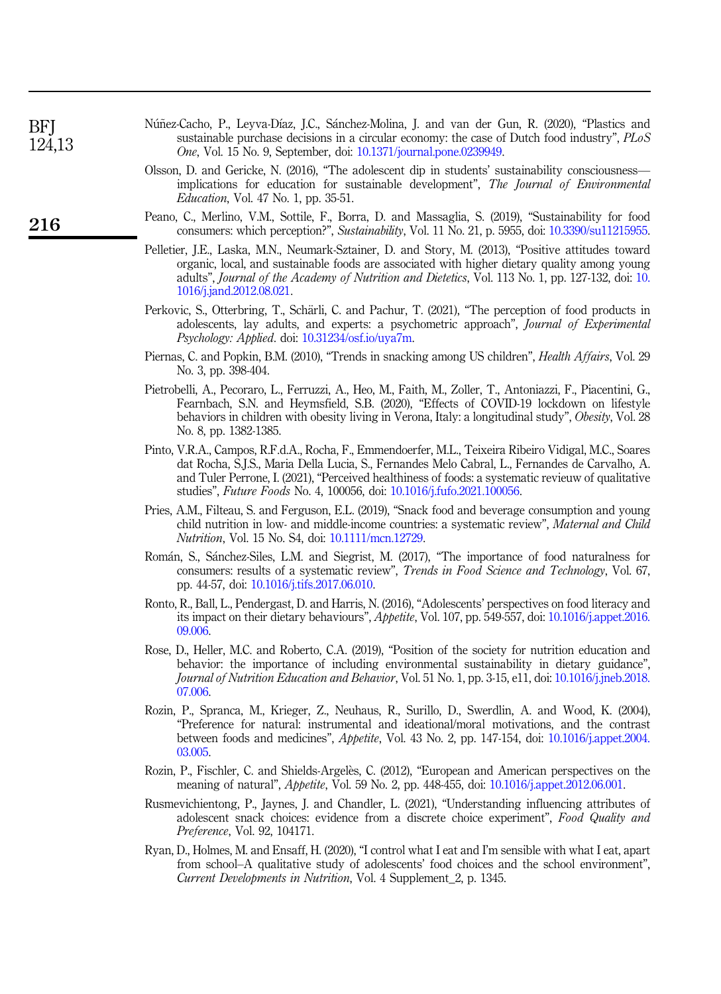<span id="page-16-15"></span><span id="page-16-14"></span><span id="page-16-13"></span><span id="page-16-9"></span><span id="page-16-8"></span><span id="page-16-7"></span><span id="page-16-0"></span>

| <b>BFI</b><br>124,13 | Núñez-Cacho, P., Leyva-Díaz, J.C., Sánchez-Molina, J. and van der Gun, R. (2020), "Plastics and<br>sustainable purchase decisions in a circular economy: the case of Dutch food industry", PLoS<br><i>One</i> , Vol. 15 No. 9, September, doi: 10.1371/journal.pone.0239949.                                                                                                             |
|----------------------|------------------------------------------------------------------------------------------------------------------------------------------------------------------------------------------------------------------------------------------------------------------------------------------------------------------------------------------------------------------------------------------|
|                      | Olsson, D. and Gericke, N. (2016), "The adolescent dip in students' sustainability consciousness—<br>implications for education for sustainable development", The Journal of Environmental<br><i>Education</i> , Vol. 47 No. 1, pp. 35-51.                                                                                                                                               |
| 216                  | Peano, C., Merlino, V.M., Sottile, F., Borra, D. and Massaglia, S. (2019), "Sustainability for food<br>consumers: which perception?", Sustainability, Vol. 11 No. 21, p. 5955, doi: 10.3390/su11215955.                                                                                                                                                                                  |
|                      | Pelletier, J.E., Laska, M.N., Neumark-Sztainer, D. and Story, M. (2013), "Positive attitudes toward<br>organic, local, and sustainable foods are associated with higher dietary quality among young<br>adults", Journal of the Academy of Nutrition and Dietetics, Vol. 113 No. 1, pp. 127-132, doi: 10.<br>1016/j.jand.2012.08.021.                                                     |
|                      | Perkovic, S., Otterbring, T., Schärli, C. and Pachur, T. (2021), "The perception of food products in<br>adolescents, lay adults, and experts: a psychometric approach", <i>Journal of Experimental</i><br><i>Psychology: Applied. doi: 10.31234/osf.io/uya7m.</i>                                                                                                                        |
|                      | Piernas, C. and Popkin, B.M. (2010), "Trends in snacking among US children", <i>Health Affairs</i> , Vol. 29<br>No. 3, pp. 398-404.                                                                                                                                                                                                                                                      |
|                      | Pietrobelli, A., Pecoraro, L., Ferruzzi, A., Heo, M., Faith, M., Zoller, T., Antoniazzi, F., Piacentini, G.,<br>Fearnbach, S.N. and Heymsfield, S.B. (2020), "Effects of COVID-19 lockdown on lifestyle<br>behaviors in children with obesity living in Verona, Italy: a longitudinal study", <i>Obesity</i> , Vol. 28<br>No. 8, pp. 1382-1385.                                          |
|                      | Pinto, V.R.A., Campos, R.F.d.A., Rocha, F., Emmendoerfer, M.L., Teixeira Ribeiro Vidigal, M.C., Soares<br>dat Rocha, S.J.S., Maria Della Lucia, S., Fernandes Melo Cabral, L., Fernandes de Carvalho, A.<br>and Tuler Perrone, I. (2021), "Perceived healthiness of foods: a systematic revieuw of qualitative<br>studies", Future Foods No. 4, 100056, doi: 10.1016/j.fufo.2021.100056. |
|                      | Pries, A.M., Filteau, S. and Ferguson, E.L. (2019), "Snack food and beverage consumption and young<br>child nutrition in low- and middle-income countries: a systematic review", Maternal and Child<br><i>Nutrition</i> , Vol. 15 No. S4, doi: 10.1111/mcn.12729.                                                                                                                        |
|                      | Román, S., Sánchez-Siles, L.M. and Siegrist, M. (2017), "The importance of food naturalness for<br>consumers: results of a systematic review", Trends in Food Science and Technology, Vol. 67,<br>pp. 44-57, doi: 10.1016/j.tifs.2017.06.010.                                                                                                                                            |
|                      | Ronto, R., Ball, L., Pendergast, D. and Harris, N. (2016), "Adolescents' perspectives on food literacy and<br>its impact on their dietary behaviours", <i>Appetite</i> , Vol. 107, pp. 549-557, doi: 10.1016/ <i>j.appet.2016</i> .<br>09.006.                                                                                                                                           |
|                      | Rose, D., Heller, M.C. and Roberto, C.A. (2019), "Position of the society for nutrition education and<br>behavior: the importance of including environmental sustainability in dietary guidance",<br>Journal of Nutrition Education and Behavior, Vol. 51 No. 1, pp. 3-15, e11, doi: 10.1016/j.jneb.2018.<br>07.006                                                                      |
|                      | Rozin, P., Spranca, M., Krieger, Z., Neuhaus, R., Surillo, D., Swerdlin, A. and Wood, K. (2004),                                                                                                                                                                                                                                                                                         |

- <span id="page-16-12"></span><span id="page-16-11"></span><span id="page-16-10"></span><span id="page-16-6"></span><span id="page-16-5"></span><span id="page-16-4"></span>"Preference for natural: instrumental and ideational/moral motivations, and the contrast between foods and medicines", Appetite, Vol. 43 No. 2, pp. 147-154, doi: [10.1016/j.appet.2004.](https://doi.org/10.1016/j.appet.2004.03.005) [03.005.](https://doi.org/10.1016/j.appet.2004.03.005)
- <span id="page-16-3"></span>Rozin, P., Fischler, C. and Shields-Argeles, C. (2012), "European and American perspectives on the meaning of natural", Appetite, Vol. 59 No. 2, pp. 448-455, doi: [10.1016/j.appet.2012.06.001.](https://doi.org/10.1016/j.appet.2012.06.001)
- <span id="page-16-2"></span>Rusmevichientong, P., Jaynes, J. and Chandler, L. (2021), "Understanding influencing attributes of adolescent snack choices: evidence from a discrete choice experiment", Food Quality and Preference, Vol. 92, 104171.
- <span id="page-16-1"></span>Ryan, D., Holmes, M. and Ensaff, H. (2020), "I control what I eat and I'm sensible with what I eat, apart from school–A qualitative study of adolescents' food choices and the school environment", Current Developments in Nutrition, Vol. 4 Supplement\_2, p. 1345.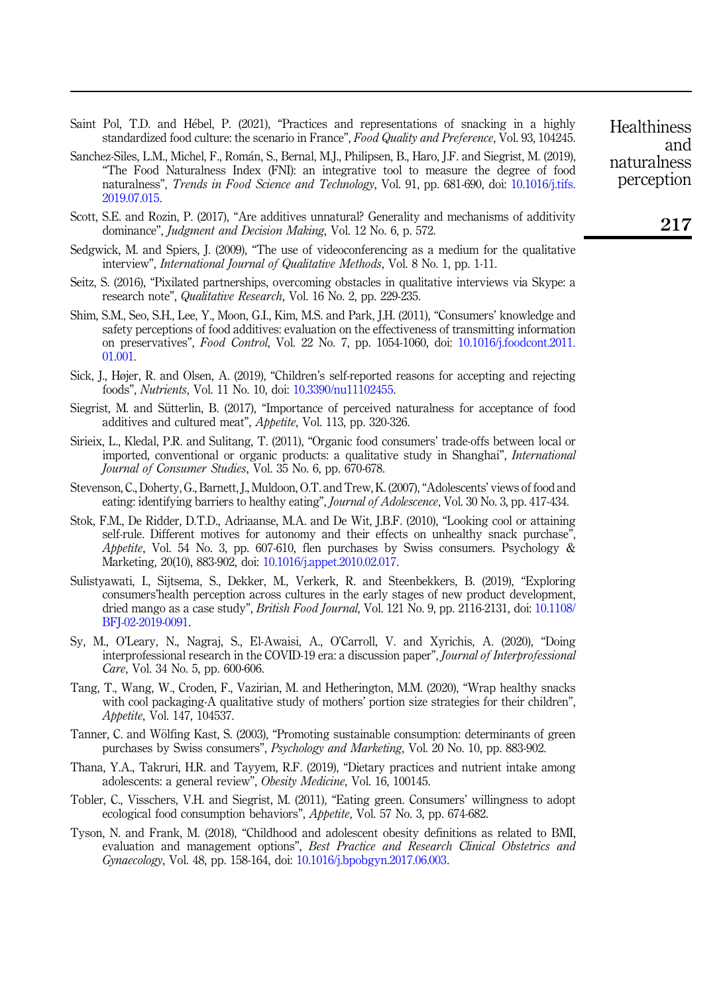- <span id="page-17-6"></span>Saint Pol, T.D. and Hebel, P. (2021), "Practices and representations of snacking in a highly standardized food culture: the scenario in France", Food Quality and Preference, Vol. 93, 104245.
- <span id="page-17-11"></span>Sanchez-Siles, L.M., Michel, F., Roman, S., Bernal, M.J., Philipsen, B., Haro, J.F. and Siegrist, M. (2019), "The Food Naturalness Index (FNI): an integrative tool to measure the degree of food naturalness", Trends in Food Science and Technology, Vol. 91, pp. 681-690, doi: [10.1016/j.tifs.](https://doi.org/10.1016/j.tifs.2019.07.015) [2019.07.015](https://doi.org/10.1016/j.tifs.2019.07.015).
- <span id="page-17-9"></span>Scott, S.E. and Rozin, P. (2017), "Are additives unnatural? Generality and mechanisms of additivity dominance", Judgment and Decision Making, Vol. 12 No. 6, p. 572.
- <span id="page-17-17"></span>Sedgwick, M. and Spiers, J. (2009), "The use of videoconferencing as a medium for the qualitative interview", *International Journal of Qualitative Methods*, Vol. 8 No. 1, pp. 1-11.
- <span id="page-17-16"></span>Seitz, S. (2016), "Pixilated partnerships, overcoming obstacles in qualitative interviews via Skype: a research note", Qualitative Research, Vol. 16 No. 2, pp. 229-235.
- <span id="page-17-10"></span>Shim, S.M., Seo, S.H., Lee, Y., Moon, G.I., Kim, M.S. and Park, J.H. (2011), "Consumers' knowledge and safety perceptions of food additives: evaluation on the effectiveness of transmitting information on preservatives", Food Control, Vol. 22 No. 7, pp. 1054-1060, doi: [10.1016/j.foodcont.2011.](https://doi.org/10.1016/j.foodcont.2011.01.001) [01.001.](https://doi.org/10.1016/j.foodcont.2011.01.001)
- <span id="page-17-8"></span>Sick, J., Højer, R. and Olsen, A. (2019), "Children's self-reported reasons for accepting and rejecting foods", Nutrients, Vol. 11 No. 10, doi: [10.3390/nu11102455](https://doi.org/10.3390/nu11102455).
- <span id="page-17-12"></span>Siegrist, M. and Sütterlin, B. (2017), "Importance of perceived naturalness for acceptance of food additives and cultured meat", Appetite, Vol. 113, pp. 320-326.
- <span id="page-17-4"></span>Sirieix, L., Kledal, P.R. and Sulitang, T. (2011), "Organic food consumers' trade-offs between local or imported, conventional or organic products: a qualitative study in Shanghai", International Journal of Consumer Studies, Vol. 35 No. 6, pp. 670-678.
- <span id="page-17-3"></span>Stevenson, C., Doherty, G., Barnett, J., Muldoon, O.T. and Trew, K. (2007),"Adolescents' views of food and eating: identifying barriers to healthy eating", *Journal of Adolescence*, Vol. 30 No. 3, pp. 417-434.
- <span id="page-17-1"></span>Stok, F.M., De Ridder, D.T.D., Adriaanse, M.A. and De Wit, J.B.F. (2010), "Looking cool or attaining self-rule. Different motives for autonomy and their effects on unhealthy snack purchase", Appetite, Vol. 54 No. 3, pp. 607-610, flen purchases by Swiss consumers. Psychology  $\&$ Marketing, 20(10), 883-902, doi: [10.1016/j.appet.2010.02.017](https://doi.org/10.1016/j.appet.2010.02.017).
- <span id="page-17-5"></span>Sulistyawati, I., Sijtsema, S., Dekker, M., Verkerk, R. and Steenbekkers, B. (2019), "Exploring consumers'health perception across cultures in the early stages of new product development, dried mango as a case study", *British Food Journal*, Vol. 121 No. 9, pp. 2116-2131, doi: [10.1108/](https://doi.org/10.1108/BFJ-02-2019-0091) [BFJ-02-2019-0091.](https://doi.org/10.1108/BFJ-02-2019-0091)
- <span id="page-17-15"></span>Sy, M., O'Leary, N., Nagraj, S., El-Awaisi, A., O'Carroll, V. and Xyrichis, A. (2020), "Doing interprofessional research in the COVID-19 era: a discussion paper", Journal of Interprofessional Care, Vol. 34 No. 5, pp. 600-606.
- <span id="page-17-7"></span>Tang, T., Wang, W., Croden, F., Vazirian, M. and Hetherington, M.M. (2020), "Wrap healthy snacks with cool packaging-A qualitative study of mothers' portion size strategies for their children", Appetite, Vol. 147, 104537.
- <span id="page-17-14"></span>Tanner, C. and Wölfing Kast, S. (2003), "Promoting sustainable consumption: determinants of green purchases by Swiss consumers", Psychology and Marketing, Vol. 20 No. 10, pp. 883-902.
- <span id="page-17-2"></span>Thana, Y.A., Takruri, H.R. and Tayyem, R.F. (2019), "Dietary practices and nutrient intake among adolescents: a general review", Obesity Medicine, Vol. 16, 100145.
- <span id="page-17-13"></span>Tobler, C., Visschers, V.H. and Siegrist, M. (2011), "Eating green. Consumers' willingness to adopt ecological food consumption behaviors", Appetite, Vol. 57 No. 3, pp. 674-682.
- <span id="page-17-0"></span>Tyson, N. and Frank, M. (2018), "Childhood and adolescent obesity definitions as related to BMI, evaluation and management options", Best Practice and Research Clinical Obstetrics and Gynaecology, Vol. 48, pp. 158-164, doi: [10.1016/j.bpobgyn.2017.06.003.](https://doi.org/10.1016/j.bpobgyn.2017.06.003)

**Healthiness** and naturalness perception

217